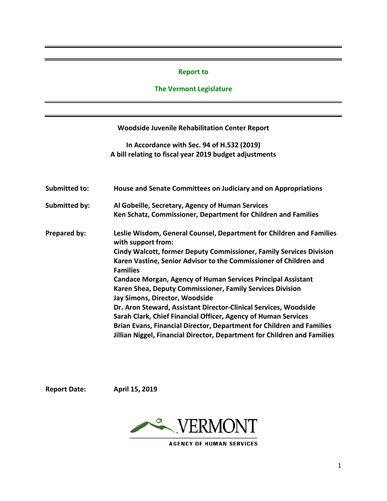#### **Report to**

### **The Vermont Legislature**

### **Woodside Juvenile Rehabilitation Center Report**

**In Accordance with Sec. 94 of H.532 (2019) A bill relating to fiscal year 2019 budget adjustments**

| House and Senate Committees on Judiciary and on Appropriations<br>Submitted to: |                                                                                            |  |  |  |  |  |
|---------------------------------------------------------------------------------|--------------------------------------------------------------------------------------------|--|--|--|--|--|
| <b>Submitted by:</b>                                                            | Al Gobeille, Secretary, Agency of Human Services                                           |  |  |  |  |  |
|                                                                                 | Ken Schatz, Commissioner, Department for Children and Families                             |  |  |  |  |  |
| Prepared by:                                                                    | Leslie Wisdom, General Counsel, Department for Children and Families<br>with support from: |  |  |  |  |  |
|                                                                                 | <b>Cindy Walcott, former Deputy Commissioner, Family Services Division</b>                 |  |  |  |  |  |
|                                                                                 | Karen Vastine, Senior Advisor to the Commissioner of Children and                          |  |  |  |  |  |
|                                                                                 | <b>Families</b>                                                                            |  |  |  |  |  |
|                                                                                 | <b>Candace Morgan, Agency of Human Services Principal Assistant</b>                        |  |  |  |  |  |
|                                                                                 | Karen Shea, Deputy Commissioner, Family Services Division                                  |  |  |  |  |  |
|                                                                                 | Jay Simons, Director, Woodside                                                             |  |  |  |  |  |
|                                                                                 | Dr. Aron Steward, Assistant Director-Clinical Services, Woodside                           |  |  |  |  |  |
|                                                                                 | Sarah Clark, Chief Financial Officer, Agency of Human Services                             |  |  |  |  |  |
|                                                                                 | Brian Evans, Financial Director, Department for Children and Families                      |  |  |  |  |  |
|                                                                                 | Jillian Niggel, Financial Director, Department for Children and Families                   |  |  |  |  |  |

**Report Date: April 15, 2019**



**AGENCY OF HUMAN SERVICES**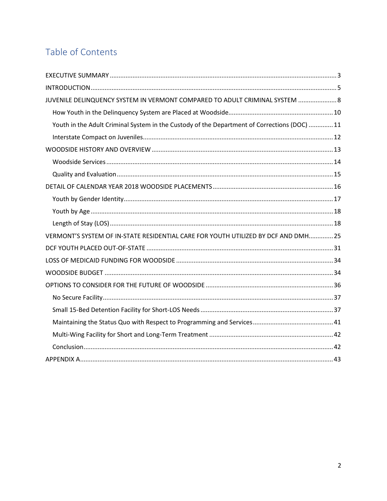# Table of Contents

| JUVENILE DELINQUENCY SYSTEM IN VERMONT COMPARED TO ADULT CRIMINAL SYSTEM  8                  |
|----------------------------------------------------------------------------------------------|
|                                                                                              |
| Youth in the Adult Criminal System in the Custody of the Department of Corrections (DOC)  11 |
|                                                                                              |
|                                                                                              |
|                                                                                              |
|                                                                                              |
|                                                                                              |
|                                                                                              |
|                                                                                              |
|                                                                                              |
| VERMONT'S SYSTEM OF IN-STATE RESIDENTIAL CARE FOR YOUTH UTILIZED BY DCF AND DMH 25           |
|                                                                                              |
|                                                                                              |
|                                                                                              |
|                                                                                              |
|                                                                                              |
|                                                                                              |
|                                                                                              |
|                                                                                              |
|                                                                                              |
|                                                                                              |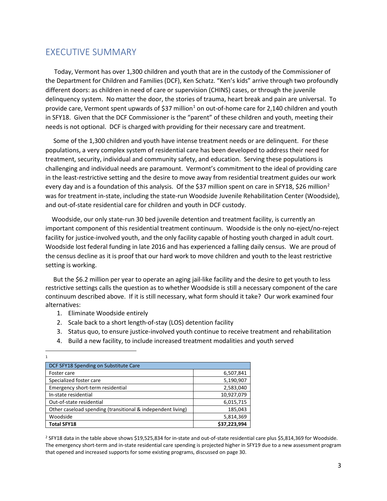# <span id="page-2-0"></span>EXECUTIVE SUMMARY

 Today, Vermont has over 1,300 children and youth that are in the custody of the Commissioner of the Department for Children and Families (DCF), Ken Schatz. "Ken's kids" arrive through two profoundly different doors: as children in need of care or supervision (CHINS) cases, or through the juvenile delinquency system. No matter the door, the stories of trauma, heart break and pain are universal. To provide care, Vermont spent upwards of \$37 million<sup>[1](#page-2-1)</sup> on out-of-home care for 2,140 children and youth in SFY18. Given that the DCF Commissioner is the "parent" of these children and youth, meeting their needs is not optional. DCF is charged with providing for their necessary care and treatment.

 Some of the 1,300 children and youth have intense treatment needs or are delinquent. For these populations, a very complex system of residential care has been developed to address their need for treatment, security, individual and community safety, and education. Serving these populations is challenging and individual needs are paramount. Vermont's commitment to the ideal of providing care in the least-restrictive setting and the desire to move away from residential treatment guides our work every day and is a foundation of this analysis. Of the \$37 million spent on care in SFY18, \$[2](#page-2-2)6 million<sup>2</sup> was for treatment in-state, including the state-run Woodside Juvenile Rehabilitation Center (Woodside), and out-of-state residential care for children and youth in DCF custody.

 Woodside, our only state-run 30 bed juvenile detention and treatment facility, is currently an important component of this residential treatment continuum. Woodside is the only no-eject/no-reject facility for justice-involved youth, and the only facility capable of hosting youth charged in adult court. Woodside lost federal funding in late 2016 and has experienced a falling daily census. We are proud of the census decline as it is proof that our hard work to move children and youth to the least restrictive setting is working.

 But the \$6.2 million per year to operate an aging jail-like facility and the desire to get youth to less restrictive settings calls the question as to whether Woodside is still a necessary component of the care continuum described above. If it is still necessary, what form should it take? Our work examined four alternatives:

1. Eliminate Woodside entirely

 $\frac{1}{1}$ 

<span id="page-2-1"></span> $\mathbf 1$ 

- 2. Scale back to a short length-of-stay (LOS) detention facility
- 3. Status quo, to ensure justice-involved youth continue to receive treatment and rehabilitation
- 4. Build a new facility, to include increased treatment modalities and youth served

| DCF SFY18 Spending on Substitute Care                       |              |
|-------------------------------------------------------------|--------------|
| Foster care                                                 | 6,507,841    |
| Specialized foster care                                     | 5,190,907    |
| Emergency short-term residential                            | 2,583,040    |
| In-state residential                                        | 10,927,079   |
| Out-of-state residential                                    | 6,015,715    |
| Other caseload spending (transitional & independent living) | 185,043      |
| Woodside                                                    | 5,814,369    |
| <b>Total SFY18</b>                                          | \$37,223,994 |

<span id="page-2-2"></span><sup>2</sup> SFY18 data in the table above shows \$19,525,834 for in-state and out-of-state residential care plus \$5,814,369 for Woodside. The emergency short-term and in-state residential care spending is projected higher in SFY19 due to a new assessment program that opened and increased supports for some existing programs, discussed on page 30.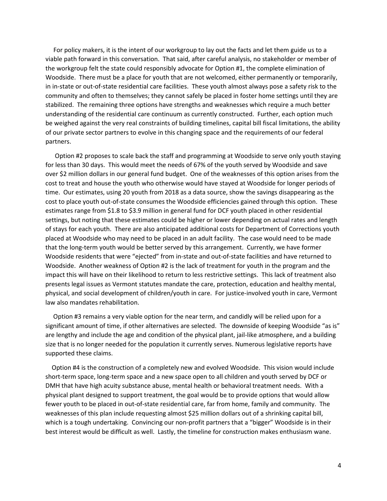For policy makers, it is the intent of our workgroup to lay out the facts and let them guide us to a viable path forward in this conversation. That said, after careful analysis, no stakeholder or member of the workgroup felt the state could responsibly advocate for Option #1, the complete elimination of Woodside. There must be a place for youth that are not welcomed, either permanently or temporarily, in in-state or out-of-state residential care facilities. These youth almost always pose a safety risk to the community and often to themselves; they cannot safely be placed in foster home settings until they are stabilized. The remaining three options have strengths and weaknesses which require a much better understanding of the residential care continuum as currently constructed. Further, each option much be weighed against the very real constraints of building timelines, capital bill fiscal limitations, the ability of our private sector partners to evolve in this changing space and the requirements of our federal partners.

 Option #2 proposes to scale back the staff and programming at Woodside to serve only youth staying for less than 30 days. This would meet the needs of 67% of the youth served by Woodside and save over \$2 million dollars in our general fund budget. One of the weaknesses of this option arises from the cost to treat and house the youth who otherwise would have stayed at Woodside for longer periods of time. Our estimates, using 20 youth from 2018 as a data source, show the savings disappearing as the cost to place youth out-of-state consumes the Woodside efficiencies gained through this option. These estimates range from \$1.8 to \$3.9 million in general fund for DCF youth placed in other residential settings, but noting that these estimates could be higher or lower depending on actual rates and length of stays for each youth. There are also anticipated additional costs for Department of Corrections youth placed at Woodside who may need to be placed in an adult facility. The case would need to be made that the long-term youth would be better served by this arrangement. Currently, we have former Woodside residents that were "ejected" from in-state and out-of-state facilities and have returned to Woodside. Another weakness of Option #2 is the lack of treatment for youth in the program and the impact this will have on their likelihood to return to less restrictive settings. This lack of treatment also presents legal issues as Vermont statutes mandate the care, protection, education and healthy mental, physical, and social development of children/youth in care. For justice-involved youth in care, Vermont law also mandates rehabilitation.

 Option #3 remains a very viable option for the near term, and candidly will be relied upon for a significant amount of time, if other alternatives are selected. The downside of keeping Woodside "as is" are lengthy and include the age and condition of the physical plant, jail-like atmosphere, and a building size that is no longer needed for the population it currently serves. Numerous legislative reports have supported these claims.

 Option #4 is the construction of a completely new and evolved Woodside. This vision would include short-term space, long-term space and a new space open to all children and youth served by DCF or DMH that have high acuity substance abuse, mental health or behavioral treatment needs. With a physical plant designed to support treatment, the goal would be to provide options that would allow fewer youth to be placed in out-of-state residential care, far from home, family and community. The weaknesses of this plan include requesting almost \$25 million dollars out of a shrinking capital bill, which is a tough undertaking. Convincing our non-profit partners that a "bigger" Woodside is in their best interest would be difficult as well. Lastly, the timeline for construction makes enthusiasm wane.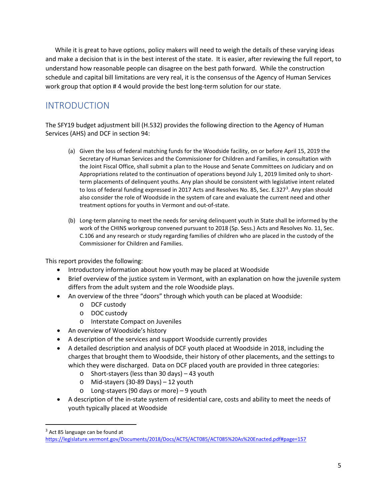While it is great to have options, policy makers will need to weigh the details of these varying ideas and make a decision that is in the best interest of the state. It is easier, after reviewing the full report, to understand how reasonable people can disagree on the best path forward. While the construction schedule and capital bill limitations are very real, it is the consensus of the Agency of Human Services work group that option # 4 would provide the best long-term solution for our state.

# <span id="page-4-0"></span>INTRODUCTION

The SFY19 budget adjustment bill (H.532) provides the following direction to the Agency of Human Services (AHS) and DCF in section 94:

- (a) Given the loss of federal matching funds for the Woodside facility, on or before April 15, 2019 the Secretary of Human Services and the Commissioner for Children and Families, in consultation with the Joint Fiscal Office, shall submit a plan to the House and Senate Committees on Judiciary and on Appropriations related to the continuation of operations beyond July 1, 2019 limited only to shortterm placements of delinquent youths. Any plan should be consistent with legislative intent related to loss of federal funding expressed in 2017 Acts and Resolves No. 85, Sec. E.[3](#page-4-1)27<sup>3</sup>. Any plan should also consider the role of Woodside in the system of care and evaluate the current need and other treatment options for youths in Vermont and out-of-state.
- (b) Long-term planning to meet the needs for serving delinquent youth in State shall be informed by the work of the CHINS workgroup convened pursuant to 2018 (Sp. Sess.) Acts and Resolves No. 11, Sec. C.106 and any research or study regarding families of children who are placed in the custody of the Commissioner for Children and Families.

This report provides the following:

- Introductory information about how youth may be placed at Woodside
- Brief overview of the justice system in Vermont, with an explanation on how the juvenile system differs from the adult system and the role Woodside plays.
- An overview of the three "doors" through which youth can be placed at Woodside:
	- o DCF custody
	- o DOC custody
	- o Interstate Compact on Juveniles
- An overview of Woodside's history
- A description of the services and support Woodside currently provides
- A detailed description and analysis of DCF youth placed at Woodside in 2018, including the charges that brought them to Woodside, their history of other placements, and the settings to which they were discharged. Data on DCF placed youth are provided in three categories:
	- o Short-stayers (less than 30 days) 43 youth
	- o Mid-stayers (30-89 Days) 12 youth
	- o Long-stayers (90 days or more) 9 youth
- A description of the in-state system of residential care, costs and ability to meet the needs of youth typically placed at Woodside

<span id="page-4-1"></span> $3$  Act 85 language can be found at

<https://legislature.vermont.gov/Documents/2018/Docs/ACTS/ACT085/ACT085%20As%20Enacted.pdf#page=157>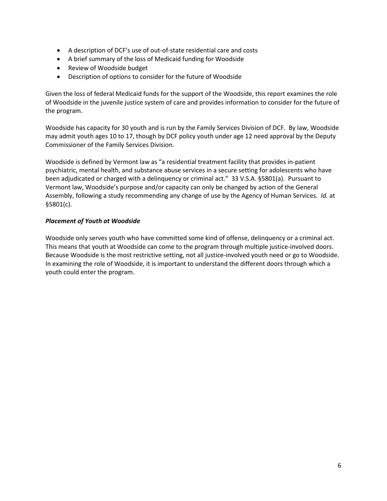- A description of DCF's use of out-of-state residential care and costs
- A brief summary of the loss of Medicaid funding for Woodside
- Review of Woodside budget
- Description of options to consider for the future of Woodside

Given the loss of federal Medicaid funds for the support of the Woodside, this report examines the role of Woodside in the juvenile justice system of care and provides information to consider for the future of the program.

Woodside has capacity for 30 youth and is run by the Family Services Division of DCF. By law, Woodside may admit youth ages 10 to 17, though by DCF policy youth under age 12 need approval by the Deputy Commissioner of the Family Services Division.

Woodside is defined by Vermont law as "a residential treatment facility that provides in-patient psychiatric, mental health, and substance abuse services in a secure setting for adolescents who have been adjudicated or charged with a delinquency or criminal act." 33 V.S.A. §5801(a). Pursuant to Vermont law, Woodside's purpose and/or capacity can only be changed by action of the General Assembly, following a study recommending any change of use by the Agency of Human Services. *Id.* at §5801(c).

#### *Placement of Youth at Woodside*

Woodside only serves youth who have committed some kind of offense, delinquency or a criminal act. This means that youth at Woodside can come to the program through multiple justice-involved doors. Because Woodside is the most restrictive setting, not all justice-involved youth need or go to Woodside. In examining the role of Woodside, it is important to understand the different doors through which a youth could enter the program.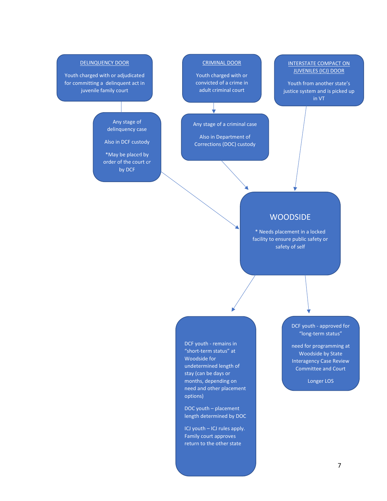#### DELINQUENCY DOOR Youth charged with or adjudicated for committing a delinquent act in juvenile family court CRIMINAL DOOR Youth charged with or convicted of a crime in adult criminal court INTERSTATE COMPACT ON JUVENILES (ICJ) DOOR Youth from another state's justice system and is picked up in VT

Any stage of a criminal case

Any stage of delinquency case Also in DCF custody

\*May be placed by order of the court or by DCF

Also in Department of Corrections (DOC) custody

## **WOODSIDE**

\* Needs placement in a locked facility to ensure public safety or safety of self

DCF youth - remains in "short-term status" at Woodside for undetermined length of stay (can be days or months, depending on need and other placement options)

DOC youth – placement length determined by DOC

ICJ youth – ICJ rules apply. Family court approves return to the other state

DCF youth - approved for "long-term status"

need for programming at Woodside by State Interagency Case Review Committee and Court

Longer LOS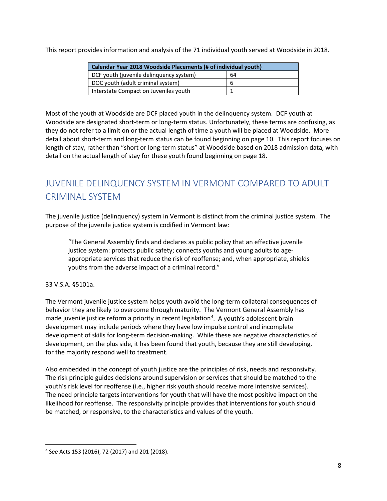This report provides information and analysis of the 71 individual youth served at Woodside in 2018.

| Calendar Year 2018 Woodside Placements (# of individual youth) |   |  |  |  |  |
|----------------------------------------------------------------|---|--|--|--|--|
| DCF youth (juvenile delinguency system)<br>64                  |   |  |  |  |  |
| DOC youth (adult criminal system)                              | b |  |  |  |  |
| Interstate Compact on Juveniles youth                          |   |  |  |  |  |

Most of the youth at Woodside are DCF placed youth in the delinquency system. DCF youth at Woodside are designated short-term or long-term status. Unfortunately, these terms are confusing, as they do not refer to a limit on or the actual length of time a youth will be placed at Woodside. More detail about short-term and long-term status can be found beginning on page 10. This report focuses on length of stay, rather than "short or long-term status" at Woodside based on 2018 admission data, with detail on the actual length of stay for these youth found beginning on page 18.

# <span id="page-7-0"></span>JUVENILE DELINQUENCY SYSTEM IN VERMONT COMPARED TO ADULT CRIMINAL SYSTEM

The juvenile justice (delinquency) system in Vermont is distinct from the criminal justice system. The purpose of the juvenile justice system is codified in Vermont law:

"The General Assembly finds and declares as public policy that an effective juvenile justice system: protects public safety; connects youths and young adults to ageappropriate services that reduce the risk of reoffense; and, when appropriate, shields youths from the adverse impact of a criminal record."

#### 33 V.S.A. §5101a.

The Vermont juvenile justice system helps youth avoid the long-term collateral consequences of behavior they are likely to overcome through maturity. The Vermont General Assembly has made juvenile justice reform a priority in recent legislation<sup>[4](#page-7-1)</sup>. A youth's adolescent brain development may include periods where they have low impulse control and incomplete development of skills for long-term decision-making. While these are negative characteristics of development, on the plus side, it has been found that youth, because they are still developing, for the majority respond well to treatment.

Also embedded in the concept of youth justice are the principles of risk, needs and responsivity. The risk principle guides decisions around supervision or services that should be matched to the youth's risk level for reoffense (i.e., higher risk youth should receive more intensive services). The need principle targets interventions for youth that will have the most positive impact on the likelihood for reoffense. The responsivity principle provides that interventions for youth should be matched, or responsive, to the characteristics and values of the youth.

<span id="page-7-1"></span> <sup>4</sup> <sup>S</sup>*ee* Acts 153 (2016), 72 (2017) and 201 (2018).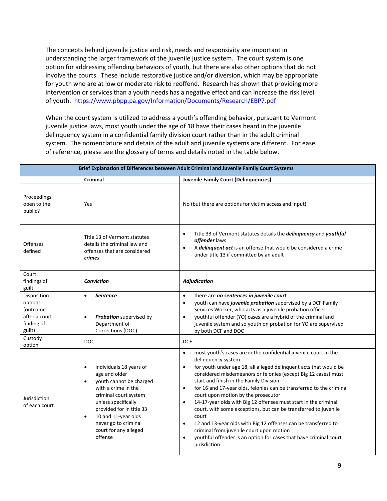The concepts behind juvenile justice and risk, needs and responsivity are important in understanding the larger framework of the juvenile justice system. The court system is one option for addressing offending behaviors of youth, but there are also other options that do not involve the courts. These include restorative justice and/or diversion, which may be appropriate for youth who are at low or moderate risk to reoffend. Research has shown that providing more intervention or services than a youth needs has a negative effect and can increase the risk level of youth.<https://www.pbpp.pa.gov/Information/Documents/Research/EBP7.pdf>

When the court system is utilized to address a youth's offending behavior, pursuant to Vermont juvenile justice laws, most youth under the age of 18 have their cases heard in the juvenile delinquency system in a confidential family division court rather than in the adult criminal system. The nomenclature and details of the adult and juvenile systems are different. For ease of reference, please see the glossary of terms and details noted in the table below.

| Brief Explanation of Differences between Adult Criminal and Juvenile Family Court Systems |                                                                                                                                                                                                                                                                                                  |                                                                                                                                                                                                                                                                                                                                                                                                                                                                                                                                                                                                                                                                                                                                                                                                                         |  |  |  |
|-------------------------------------------------------------------------------------------|--------------------------------------------------------------------------------------------------------------------------------------------------------------------------------------------------------------------------------------------------------------------------------------------------|-------------------------------------------------------------------------------------------------------------------------------------------------------------------------------------------------------------------------------------------------------------------------------------------------------------------------------------------------------------------------------------------------------------------------------------------------------------------------------------------------------------------------------------------------------------------------------------------------------------------------------------------------------------------------------------------------------------------------------------------------------------------------------------------------------------------------|--|--|--|
|                                                                                           | <b>Criminal</b>                                                                                                                                                                                                                                                                                  | <b>Juvenile Family Court (Delinquencies)</b>                                                                                                                                                                                                                                                                                                                                                                                                                                                                                                                                                                                                                                                                                                                                                                            |  |  |  |
| Proceedings<br>open to the<br>public?                                                     | Yes                                                                                                                                                                                                                                                                                              | No (but there are options for victim access and input)                                                                                                                                                                                                                                                                                                                                                                                                                                                                                                                                                                                                                                                                                                                                                                  |  |  |  |
| <b>Offenses</b><br>defined                                                                | Title 13 of Vermont statutes<br>details the criminal law and<br>offenses that are considered<br><i>crimes</i>                                                                                                                                                                                    | Title 33 of Vermont statutes details the delinquency and youthful<br>$\bullet$<br>offender laws<br>A delinquent act is an offense that would be considered a crime<br>$\bullet$<br>under title 13 if committed by an adult                                                                                                                                                                                                                                                                                                                                                                                                                                                                                                                                                                                              |  |  |  |
| Court<br>findings of<br>guilt                                                             | <b>Conviction</b>                                                                                                                                                                                                                                                                                | <b>Adjudication</b>                                                                                                                                                                                                                                                                                                                                                                                                                                                                                                                                                                                                                                                                                                                                                                                                     |  |  |  |
| Disposition<br>options<br>(outcome<br>after a court<br>finding of<br>guilt)               | <b>Sentence</b><br>$\bullet$<br>Probation supervised by<br>$\bullet$<br>Department of<br>Corrections (DOC)                                                                                                                                                                                       | there are no sentences in juvenile court<br>$\bullet$<br>youth can have juvenile probation supervised by a DCF Family<br>$\bullet$<br>Services Worker, who acts as a juvenile probation officer<br>youthful offender (YO) cases are a hybrid of the criminal and<br>$\bullet$<br>juvenile system and so youth on probation for YO are supervised<br>by both DCF and DOC                                                                                                                                                                                                                                                                                                                                                                                                                                                 |  |  |  |
| Custody<br>option                                                                         | <b>DOC</b>                                                                                                                                                                                                                                                                                       | <b>DCF</b>                                                                                                                                                                                                                                                                                                                                                                                                                                                                                                                                                                                                                                                                                                                                                                                                              |  |  |  |
| Jurisdiction<br>of each court                                                             | individuals 18 years of<br>$\bullet$<br>age and older<br>youth cannot be charged<br>$\bullet$<br>with a crime in the<br>criminal court system<br>unless specifically<br>provided for in title 33<br>10 and 11-year olds<br>$\bullet$<br>never go to criminal<br>court for any alleged<br>offense | most youth's cases are in the confidential juvenile court in the<br>$\bullet$<br>delinquency system<br>for youth under age 18, all alleged delinquent acts that would be<br>$\bullet$<br>considered misdemeanors or felonies (except Big 12 cases) must<br>start and finish in the Family Division<br>for 16 and 17-year olds, felonies can be transferred to the criminal<br>$\bullet$<br>court upon motion by the prosecutor<br>14-17-year olds with Big 12 offenses must start in the criminal<br>$\bullet$<br>court, with some exceptions, but can be transferred to juvenile<br>court<br>12 and 13-year olds with Big 12 offenses can be transferred to<br>$\bullet$<br>criminal from juvenile court upon motion<br>youthful offender is an option for cases that have criminal court<br>$\bullet$<br>jurisdiction |  |  |  |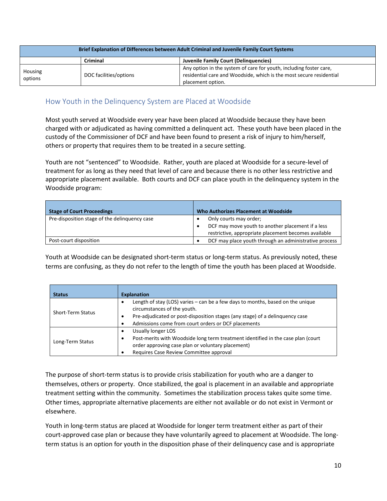| Brief Explanation of Differences between Adult Criminal and Juvenile Family Court Systems |                        |                                                                                                                                                                |  |  |  |
|-------------------------------------------------------------------------------------------|------------------------|----------------------------------------------------------------------------------------------------------------------------------------------------------------|--|--|--|
| Juvenile Family Court (Delinguencies)<br>Criminal                                         |                        |                                                                                                                                                                |  |  |  |
| Housing<br>options                                                                        | DOC facilities/options | Any option in the system of care for youth, including foster care,<br>residential care and Woodside, which is the most secure residential<br>placement option. |  |  |  |

### <span id="page-9-0"></span>How Youth in the Delinquency System are Placed at Woodside

Most youth served at Woodside every year have been placed at Woodside because they have been charged with or adjudicated as having committed a delinquent act. These youth have been placed in the custody of the Commissioner of DCF and have been found to present a risk of injury to him/herself, others or property that requires them to be treated in a secure setting.

Youth are not "sentenced" to Woodside. Rather, youth are placed at Woodside for a secure-level of treatment for as long as they need that level of care and because there is no other less restrictive and appropriate placement available. Both courts and DCF can place youth in the delinquency system in the Woodside program:

| <b>Stage of Court Proceedings</b>             | Who Authorizes Placement at Woodside                                                                                                |
|-----------------------------------------------|-------------------------------------------------------------------------------------------------------------------------------------|
| Pre-disposition stage of the delinquency case | Only courts may order;<br>DCF may move youth to another placement if a less<br>restrictive, appropriate placement becomes available |
| Post-court disposition                        | DCF may place youth through an administrative process                                                                               |

Youth at Woodside can be designated short-term status or long-term status. As previously noted, these terms are confusing, as they do not refer to the length of time the youth has been placed at Woodside.

| <b>Status</b>     | <b>Explanation</b>                                                                                                                                                                                                                                          |
|-------------------|-------------------------------------------------------------------------------------------------------------------------------------------------------------------------------------------------------------------------------------------------------------|
| Short-Term Status | Length of stay (LOS) varies $-$ can be a few days to months, based on the unique<br>circumstances of the youth.<br>Pre-adjudicated or post-disposition stages (any stage) of a delinguency case<br>٠<br>Admissions come from court orders or DCF placements |
| Long-Term Status  | Usually longer LOS<br>Post-merits with Woodside long term treatment identified in the case plan (court<br>٠<br>order approving case plan or voluntary placement)<br>Requires Case Review Committee approval                                                 |

The purpose of short-term status is to provide crisis stabilization for youth who are a danger to themselves, others or property. Once stabilized, the goal is placement in an available and appropriate treatment setting within the community. Sometimes the stabilization process takes quite some time. Other times, appropriate alternative placements are either not available or do not exist in Vermont or elsewhere.

Youth in long-term status are placed at Woodside for longer term treatment either as part of their court-approved case plan or because they have voluntarily agreed to placement at Woodside. The longterm status is an option for youth in the disposition phase of their delinquency case and is appropriate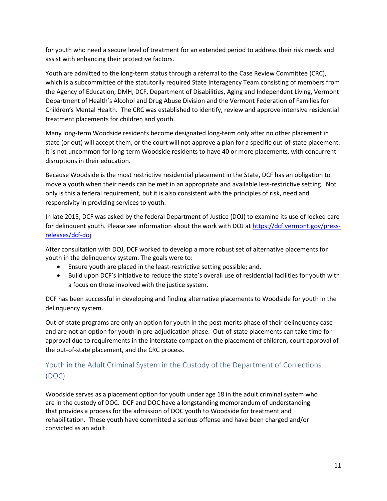for youth who need a secure level of treatment for an extended period to address their risk needs and assist with enhancing their protective factors.

Youth are admitted to the long-term status through a referral to the Case Review Committee (CRC), which is a subcommittee of the statutorily required State Interagency Team consisting of members from the Agency of Education, DMH, DCF, Department of Disabilities, Aging and Independent Living, Vermont Department of Health's Alcohol and Drug Abuse Division and the Vermont Federation of Families for Children's Mental Health. The CRC was established to identify, review and approve intensive residential treatment placements for children and youth.

Many long-term Woodside residents become designated long-term only after no other placement in state (or out) will accept them, or the court will not approve a plan for a specific out-of-state placement. It is not uncommon for long-term Woodside residents to have 40 or more placements, with concurrent disruptions in their education.

Because Woodside is the most restrictive residential placement in the State, DCF has an obligation to move a youth when their needs can be met in an appropriate and available less-restrictive setting. Not only is this a federal requirement, but it is also consistent with the principles of risk, need and responsivity in providing services to youth.

In late 2015, DCF was asked by the federal Department of Justice (DOJ) to examine its use of locked care for delinquent youth. Please see information about the work with DOJ at [https://dcf.vermont.gov/press](https://dcf.vermont.gov/press-releases/dcf-doj)[releases/dcf-doj](https://dcf.vermont.gov/press-releases/dcf-doj)

After consultation with DOJ, DCF worked to develop a more robust set of alternative placements for youth in the delinquency system. The goals were to:

- Ensure youth are placed in the least-restrictive setting possible; and,
- Build upon DCF's initiative to reduce the state's overall use of residential facilities for youth with a focus on those involved with the justice system.

DCF has been successful in developing and finding alternative placements to Woodside for youth in the delinquency system.

Out-of-state programs are only an option for youth in the post-merits phase of their delinquency case and are not an option for youth in pre-adjudication phase. Out-of-state placements can take time for approval due to requirements in the interstate compact on the placement of children, court approval of the out-of-state placement, and the CRC process.

# <span id="page-10-0"></span>Youth in the Adult Criminal System in the Custody of the Department of Corrections (DOC)

Woodside serves as a placement option for youth under age 18 in the adult criminal system who are in the custody of DOC. DCF and DOC have a longstanding memorandum of understanding that provides a process for the admission of DOC youth to Woodside for treatment and rehabilitation. These youth have committed a serious offense and have been charged and/or convicted as an adult.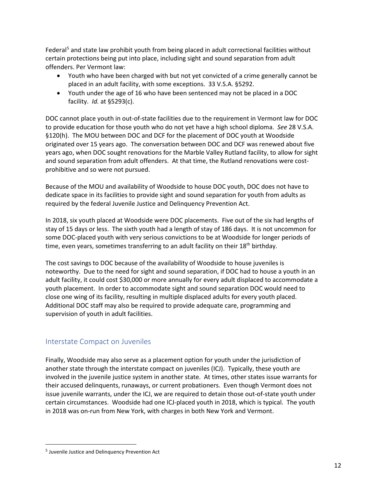Federal<sup>[5](#page-11-1)</sup> and state law prohibit youth from being placed in adult correctional facilities without certain protections being put into place, including sight and sound separation from adult offenders. Per Vermont law:

- Youth who have been charged with but not yet convicted of a crime generally cannot be placed in an adult facility, with some exceptions. 33 V.S.A. §5292.
- Youth under the age of 16 who have been sentenced may not be placed in a DOC facility. *Id.* at §5293(c).

DOC cannot place youth in out-of-state facilities due to the requirement in Vermont law for DOC to provide education for those youth who do not yet have a high school diploma. *See* 28 V.S.A. §120(h). The MOU between DOC and DCF for the placement of DOC youth at Woodside originated over 15 years ago. The conversation between DOC and DCF was renewed about five years ago, when DOC sought renovations for the Marble Valley Rutland facility, to allow for sight and sound separation from adult offenders. At that time, the Rutland renovations were costprohibitive and so were not pursued.

Because of the MOU and availability of Woodside to house DOC youth, DOC does not have to dedicate space in its facilities to provide sight and sound separation for youth from adults as required by the federal Juvenile Justice and Delinquency Prevention Act.

In 2018, six youth placed at Woodside were DOC placements. Five out of the six had lengths of stay of 15 days or less. The sixth youth had a length of stay of 186 days. It is not uncommon for some DOC-placed youth with very serious convictions to be at Woodside for longer periods of time, even years, sometimes transferring to an adult facility on their 18<sup>th</sup> birthday.

The cost savings to DOC because of the availability of Woodside to house juveniles is noteworthy. Due to the need for sight and sound separation, if DOC had to house a youth in an adult facility, it could cost \$30,000 or more annually for every adult displaced to accommodate a youth placement. In order to accommodate sight and sound separation DOC would need to close one wing of its facility, resulting in multiple displaced adults for every youth placed. Additional DOC staff may also be required to provide adequate care, programming and supervision of youth in adult facilities.

### <span id="page-11-0"></span>Interstate Compact on Juveniles

Finally, Woodside may also serve as a placement option for youth under the jurisdiction of another state through the interstate compact on juveniles (ICJ). Typically, these youth are involved in the juvenile justice system in another state. At times, other states issue warrants for their accused delinquents, runaways, or current probationers. Even though Vermont does not issue juvenile warrants, under the ICJ, we are required to detain those out-of-state youth under certain circumstances. Woodside had one ICJ-placed youth in 2018, which is typical. The youth in 2018 was on-run from New York, with charges in both New York and Vermont.

<span id="page-11-1"></span> <sup>5</sup> Juvenile Justice and Delinquency Prevention Act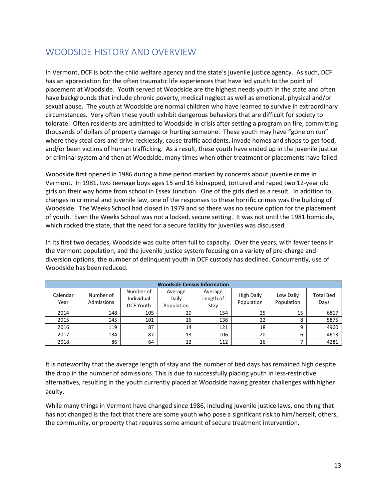# <span id="page-12-0"></span>WOODSIDE HISTORY AND OVERVIEW

In Vermont, DCF is both the child welfare agency and the state's juvenile justice agency. As such, DCF has an appreciation for the often traumatic life experiences that have led youth to the point of placement at Woodside. Youth served at Woodside are the highest needs youth in the state and often have backgrounds that include chronic poverty, medical neglect as well as emotional, physical and/or sexual abuse. The youth at Woodside are normal children who have learned to survive in extraordinary circumstances. Very often these youth exhibit dangerous behaviors that are difficult for society to tolerate. Often residents are admitted to Woodside in crisis after setting a program on fire, committing thousands of dollars of property damage or hurting someone. These youth may have "gone on run" where they steal cars and drive recklessly, cause traffic accidents, invade homes and shops to get food, and/or been victims of human trafficking. As a result, these youth have ended up in the juvenile justice or criminal system and then at Woodside, many times when other treatment or placements have failed.

Woodside first opened in 1986 during a time period marked by concerns about juvenile crime in Vermont. In 1981, two teenage boys ages 15 and 16 kidnapped, tortured and raped two 12-year old girls on their way home from school in Essex Junction. One of the girls died as a result. In addition to changes in criminal and juvenile law, one of the responses to these horrific crimes was the building of Woodside. The Weeks School had closed in 1979 and so there was no secure option for the placement of youth. Even the Weeks School was not a locked, secure setting. It was not until the 1981 homicide, which rocked the state, that the need for a secure facility for juveniles was discussed.

In its first two decades, Woodside was quite often full to capacity. Over the years, with fewer teens in the Vermont population, and the juvenile justice system focusing on a variety of pre-charge and diversion options, the number of delinquent youth in DCF custody has declined. Concurrently, use of Woodside has been reduced.

| <b>Woodside Census Information</b> |                         |                                             |                                |                              |                                 |                         |                          |  |
|------------------------------------|-------------------------|---------------------------------------------|--------------------------------|------------------------------|---------------------------------|-------------------------|--------------------------|--|
| Calendar<br>Year                   | Number of<br>Admissions | Number of<br>Individual<br><b>DCF Youth</b> | Average<br>Daily<br>Population | Average<br>Length of<br>Stay | <b>High Daily</b><br>Population | Low Daily<br>Population | <b>Total Bed</b><br>Days |  |
| 2014                               | 148                     | 105                                         | 20                             | 154                          | 25                              | 15                      | 6817                     |  |
| 2015                               | 145                     | 101                                         | 16                             | 136                          | 22                              | 8                       | 5875                     |  |
| 2016                               | 119                     | 87                                          | 14                             | 121                          | 18                              | 9                       | 4960                     |  |
| 2017                               | 134                     | 87                                          | 13                             | 106                          | 20                              | 6                       | 4613                     |  |
| 2018                               | 86                      | 64                                          | 12                             | 112                          | 16                              |                         | 4281                     |  |

It is noteworthy that the average length of stay and the number of bed days has remained high despite the drop in the number of admissions. This is due to successfully placing youth in less-restrictive alternatives, resulting in the youth currently placed at Woodside having greater challenges with higher acuity.

While many things in Vermont have changed since 1986, including juvenile justice laws, one thing that has not changed is the fact that there are some youth who pose a significant risk to him/herself, others, the community, or property that requires some amount of secure treatment intervention.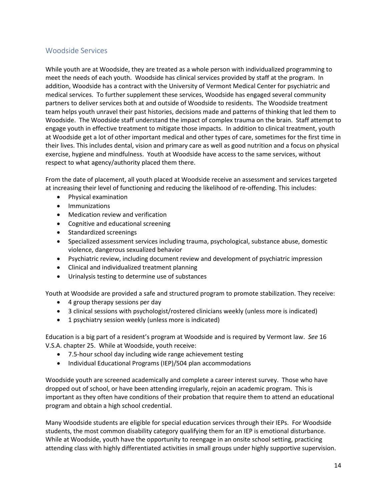### <span id="page-13-0"></span>Woodside Services

While youth are at Woodside, they are treated as a whole person with individualized programming to meet the needs of each youth. Woodside has clinical services provided by staff at the program. In addition, Woodside has a contract with the University of Vermont Medical Center for psychiatric and medical services. To further supplement these services, Woodside has engaged several community partners to deliver services both at and outside of Woodside to residents. The Woodside treatment team helps youth unravel their past histories, decisions made and patterns of thinking that led them to Woodside. The Woodside staff understand the impact of complex trauma on the brain. Staff attempt to engage youth in effective treatment to mitigate those impacts. In addition to clinical treatment, youth at Woodside get a lot of other important medical and other types of care, sometimes for the first time in their lives. This includes dental, vision and primary care as well as good nutrition and a focus on physical exercise, hygiene and mindfulness. Youth at Woodside have access to the same services, without respect to what agency/authority placed them there.

From the date of placement, all youth placed at Woodside receive an assessment and services targeted at increasing their level of functioning and reducing the likelihood of re-offending. This includes:

- Physical examination
- Immunizations
- Medication review and verification
- Cognitive and educational screening
- Standardized screenings
- Specialized assessment services including trauma, psychological, substance abuse, domestic violence, dangerous sexualized behavior
- Psychiatric review, including document review and development of psychiatric impression
- Clinical and individualized treatment planning
- Urinalysis testing to determine use of substances

Youth at Woodside are provided a safe and structured program to promote stabilization. They receive:

- 4 group therapy sessions per day
- 3 clinical sessions with psychologist/rostered clinicians weekly (unless more is indicated)
- 1 psychiatry session weekly (unless more is indicated)

Education is a big part of a resident's program at Woodside and is required by Vermont law. *See* 16 V.S.A. chapter 25. While at Woodside, youth receive:

- 7.5-hour school day including wide range achievement testing
- Individual Educational Programs (IEP)/504 plan accommodations

Woodside youth are screened academically and complete a career interest survey. Those who have dropped out of school, or have been attending irregularly, rejoin an academic program. This is important as they often have conditions of their probation that require them to attend an educational program and obtain a high school credential.

Many Woodside students are eligible for special education services through their IEPs. For Woodside students, the most common disability category qualifying them for an IEP is emotional disturbance. While at Woodside, youth have the opportunity to reengage in an onsite school setting, practicing attending class with highly differentiated activities in small groups under highly supportive supervision.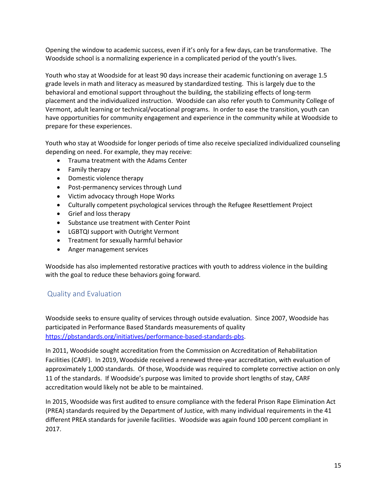Opening the window to academic success, even if it's only for a few days, can be transformative. The Woodside school is a normalizing experience in a complicated period of the youth's lives.

Youth who stay at Woodside for at least 90 days increase their academic functioning on average 1.5 grade levels in math and literacy as measured by standardized testing. This is largely due to the behavioral and emotional support throughout the building, the stabilizing effects of long-term placement and the individualized instruction. Woodside can also refer youth to Community College of Vermont, adult learning or technical/vocational programs. In order to ease the transition, youth can have opportunities for community engagement and experience in the community while at Woodside to prepare for these experiences.

Youth who stay at Woodside for longer periods of time also receive specialized individualized counseling depending on need. For example, they may receive:

- Trauma treatment with the Adams Center
- Family therapy
- Domestic violence therapy
- Post-permanency services through Lund
- Victim advocacy through Hope Works
- Culturally competent psychological services through the Refugee Resettlement Project
- Grief and loss therapy
- Substance use treatment with Center Point
- LGBTQI support with Outright Vermont
- Treatment for sexually harmful behavior
- Anger management services

Woodside has also implemented restorative practices with youth to address violence in the building with the goal to reduce these behaviors going forward.

### <span id="page-14-0"></span>Quality and Evaluation

Woodside seeks to ensure quality of services through outside evaluation. Since 2007, Woodside has participated in Performance Based Standards measurements of quality [https://pbstandards.org/initiatives/performance-based-standards-pbs.](https://pbstandards.org/initiatives/performance-based-standards-pbs)

In 2011, Woodside sought accreditation from the Commission on Accreditation of Rehabilitation Facilities (CARF). In 2019, Woodside received a renewed three-year accreditation, with evaluation of approximately 1,000 standards. Of those, Woodside was required to complete corrective action on only 11 of the standards. If Woodside's purpose was limited to provide short lengths of stay, CARF accreditation would likely not be able to be maintained.

In 2015, Woodside was first audited to ensure compliance with the federal Prison Rape Elimination Act (PREA) standards required by the Department of Justice, with many individual requirements in the 41 different PREA standards for juvenile facilities. Woodside was again found 100 percent compliant in 2017.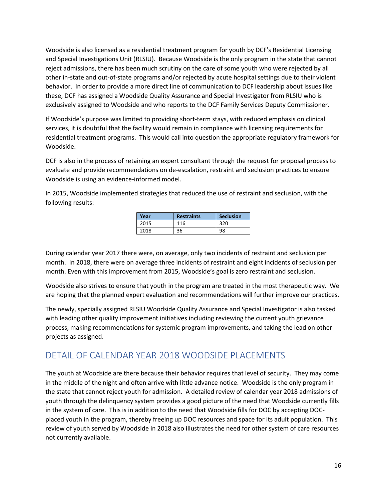Woodside is also licensed as a residential treatment program for youth by DCF's Residential Licensing and Special Investigations Unit (RLSIU). Because Woodside is the only program in the state that cannot reject admissions, there has been much scrutiny on the care of some youth who were rejected by all other in-state and out-of-state programs and/or rejected by acute hospital settings due to their violent behavior. In order to provide a more direct line of communication to DCF leadership about issues like these, DCF has assigned a Woodside Quality Assurance and Special Investigator from RLSIU who is exclusively assigned to Woodside and who reports to the DCF Family Services Deputy Commissioner.

If Woodside's purpose was limited to providing short-term stays, with reduced emphasis on clinical services, it is doubtful that the facility would remain in compliance with licensing requirements for residential treatment programs. This would call into question the appropriate regulatory framework for Woodside.

DCF is also in the process of retaining an expert consultant through the request for proposal process to evaluate and provide recommendations on de-escalation, restraint and seclusion practices to ensure Woodside is using an evidence-informed model.

In 2015, Woodside implemented strategies that reduced the use of restraint and seclusion, with the following results:

| Year | <b>Restraints</b> | <b>Seclusion</b> |  |
|------|-------------------|------------------|--|
| 2015 | 116               | 320              |  |
| 2018 | 36                | 98               |  |

During calendar year 2017 there were, on average, only two incidents of restraint and seclusion per month. In 2018, there were on average three incidents of restraint and eight incidents of seclusion per month. Even with this improvement from 2015, Woodside's goal is zero restraint and seclusion.

Woodside also strives to ensure that youth in the program are treated in the most therapeutic way. We are hoping that the planned expert evaluation and recommendations will further improve our practices.

The newly, specially assigned RLSIU Woodside Quality Assurance and Special Investigator is also tasked with leading other quality improvement initiatives including reviewing the current youth grievance process, making recommendations for systemic program improvements, and taking the lead on other projects as assigned.

# <span id="page-15-0"></span>DETAIL OF CALENDAR YEAR 2018 WOODSIDE PLACEMENTS

The youth at Woodside are there because their behavior requires that level of security. They may come in the middle of the night and often arrive with little advance notice. Woodside is the only program in the state that cannot reject youth for admission. A detailed review of calendar year 2018 admissions of youth through the delinquency system provides a good picture of the need that Woodside currently fills in the system of care. This is in addition to the need that Woodside fills for DOC by accepting DOCplaced youth in the program, thereby freeing up DOC resources and space for its adult population. This review of youth served by Woodside in 2018 also illustrates the need for other system of care resources not currently available.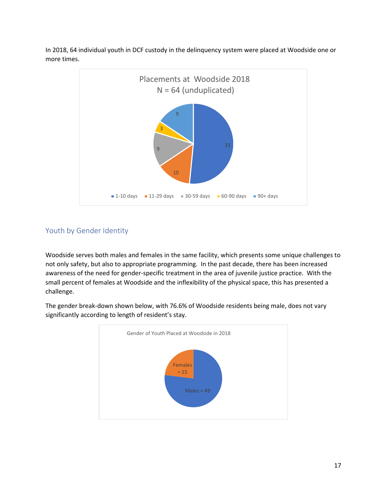

In 2018, 64 individual youth in DCF custody in the delinquency system were placed at Woodside one or more times.

# <span id="page-16-0"></span>Youth by Gender Identity

Woodside serves both males and females in the same facility, which presents some unique challenges to not only safety, but also to appropriate programming. In the past decade, there has been increased awareness of the need for gender-specific treatment in the area of juvenile justice practice. With the small percent of females at Woodside and the inflexibility of the physical space, this has presented a challenge.

The gender break-down shown below, with 76.6% of Woodside residents being male, does not vary significantly according to length of resident's stay.

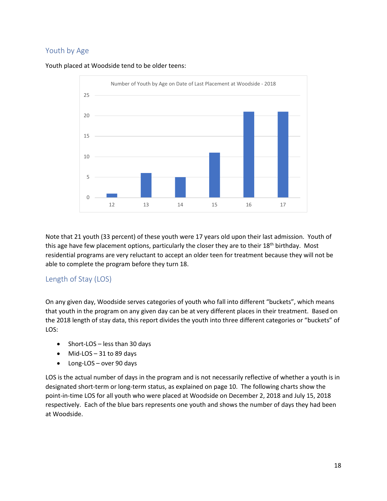## <span id="page-17-0"></span>Youth by Age





Note that 21 youth (33 percent) of these youth were 17 years old upon their last admission. Youth of this age have few placement options, particularly the closer they are to their 18<sup>th</sup> birthday. Most residential programs are very reluctant to accept an older teen for treatment because they will not be able to complete the program before they turn 18.

### <span id="page-17-1"></span>Length of Stay (LOS)

On any given day, Woodside serves categories of youth who fall into different "buckets", which means that youth in the program on any given day can be at very different places in their treatment. Based on the 2018 length of stay data, this report divides the youth into three different categories or "buckets" of LOS:

- Short-LOS less than 30 days
- Mid-LOS 31 to 89 days
- Long-LOS over 90 days

LOS is the actual number of days in the program and is not necessarily reflective of whether a youth is in designated short-term or long-term status, as explained on page 10. The following charts show the point-in-time LOS for all youth who were placed at Woodside on December 2, 2018 and July 15, 2018 respectively. Each of the blue bars represents one youth and shows the number of days they had been at Woodside.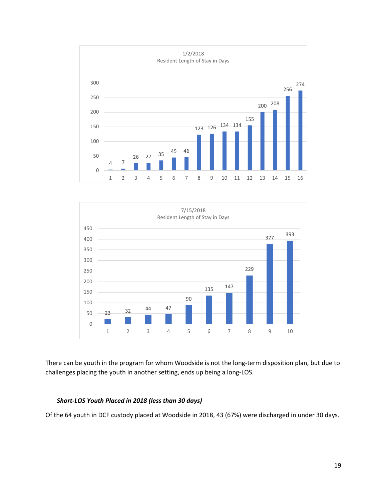



There can be youth in the program for whom Woodside is not the long-term disposition plan, but due to challenges placing the youth in another setting, ends up being a long-LOS.

#### *Short-LOS Youth Placed in 2018 (less than 30 days)*

Of the 64 youth in DCF custody placed at Woodside in 2018, 43 (67%) were discharged in under 30 days.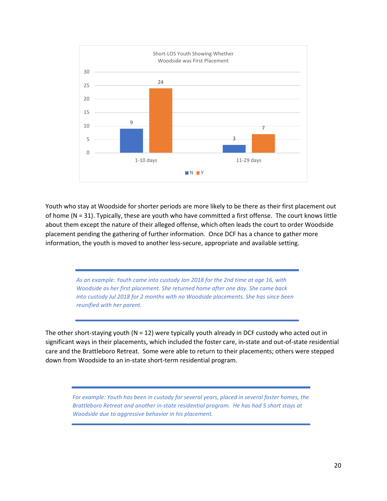

Youth who stay at Woodside for shorter periods are more likely to be there as their first placement out of home (N = 31). Typically, these are youth who have committed a first offense. The court knows little about them except the nature of their alleged offense, which often leads the court to order Woodside placement pending the gathering of further information. Once DCF has a chance to gather more information, the youth is moved to another less-secure, appropriate and available setting.

> *As an example: Youth came into custody Jan 2018 for the 2nd time at age 16, with Woodside as her first placement. She returned home after one day. She came back into custody Jul 2018 for 2 months with no Woodside placements. She has since been reunified with her parent.*

The other short-staying youth ( $N = 12$ ) were typically youth already in DCF custody who acted out in significant ways in their placements, which included the foster care, in-state and out-of-state residential care and the Brattleboro Retreat. Some were able to return to their placements; others were stepped down from Woodside to an in-state short-term residential program.

*For example: Youth has been in custody for several years, placed in several foster homes, the Brattleboro Retreat and another in-state residential program. He has had 5 short stays at Woodside due to aggressive behavior in his placement.*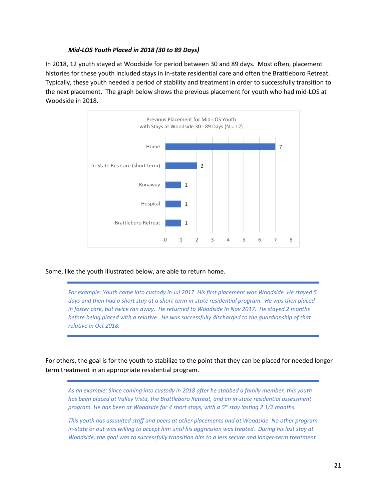#### *Mid-LOS Youth Placed in 2018 (30 to 89 Days)*

In 2018, 12 youth stayed at Woodside for period between 30 and 89 days. Most often, placement histories for these youth included stays in in-state residential care and often the Brattleboro Retreat. Typically, these youth needed a period of stability and treatment in order to successfully transition to the next placement. The graph below shows the previous placement for youth who had mid-LOS at Woodside in 2018.



Some, like the youth illustrated below, are able to return home.

*For example: Youth came into custody in Jul 2017. His first placement was Woodside. He stayed 5 days and then had a short stay at a short-term in-state residential program. He was then placed in foster care, but twice ran away. He returned to Woodside In Nov 2017. He stayed 2 months before being placed with a relative. He was successfully discharged to the guardianship of that relative in Oct 2018.*

For others, the goal is for the youth to stabilize to the point that they can be placed for needed longer term treatment in an appropriate residential program.

*As an example: Since coming into custody in 2018 after he stabbed a family member, this youth has been placed at Valley Vista, the Brattleboro Retreat, and an in-state residential assessment program. He has been at Woodside for 4 short stays, with a 5th stay lasting 2 1/2 months.* 

*This youth has assaulted staff and peers at other placements and at Woodside. No other program*  in-state or out was willing to accept him until his aggression was treated. During his last stay at *Woodside, the goal was to successfully transition him to a less secure and longer-term treatment*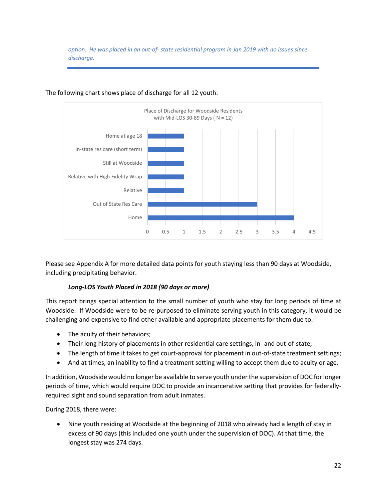*option. He was placed in an out-of- state residential program in Jan 2019 with no issues since discharge.*



The following chart shows place of discharge for all 12 youth.

Please see Appendix A for more detailed data points for youth staying less than 90 days at Woodside, including precipitating behavior.

#### *Long-LOS Youth Placed in 2018 (90 days or more)*

This report brings special attention to the small number of youth who stay for long periods of time at Woodside. If Woodside were to be re-purposed to eliminate serving youth in this category, it would be challenging and expensive to find other available and appropriate placements for them due to:

- The acuity of their behaviors;
- Their long history of placements in other residential care settings, in- and out-of-state;
- The length of time it takes to get court-approval for placement in out-of-state treatment settings;
- And at times, an inability to find a treatment setting willing to accept them due to acuity or age.

In addition, Woodside would no longer be available to serve youth under the supervision of DOC for longer periods of time, which would require DOC to provide an incarcerative setting that provides for federallyrequired sight and sound separation from adult inmates.

During 2018, there were:

• Nine youth residing at Woodside at the beginning of 2018 who already had a length of stay in excess of 90 days (this included one youth under the supervision of DOC). At that time, the longest stay was 274 days.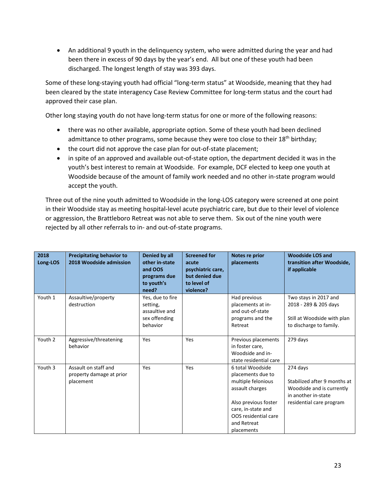• An additional 9 youth in the delinquency system, who were admitted during the year and had been there in excess of 90 days by the year's end. All but one of these youth had been discharged. The longest length of stay was 393 days.

Some of these long-staying youth had official "long-term status" at Woodside, meaning that they had been cleared by the state interagency Case Review Committee for long-term status and the court had approved their case plan.

Other long staying youth do not have long-term status for one or more of the following reasons:

- there was no other available, appropriate option. Some of these youth had been declined admittance to other programs, some because they were too close to their 18<sup>th</sup> birthday;
- the court did not approve the case plan for out-of-state placement;
- in spite of an approved and available out-of-state option, the department decided it was in the youth's best interest to remain at Woodside. For example, DCF elected to keep one youth at Woodside because of the amount of family work needed and no other in-state program would accept the youth.

Three out of the nine youth admitted to Woodside in the long-LOS category were screened at one point in their Woodside stay as meeting hospital-level acute psychiatric care, but due to their level of violence or aggression, the Brattleboro Retreat was not able to serve them. Six out of the nine youth were rejected by all other referrals to in- and out-of-state programs.

| 2018<br>Long-LOS | <b>Precipitating behavior to</b><br>2018 Woodside admission   | Denied by all<br>other in-state<br>and OOS<br>programs due<br>to youth's<br>need? | <b>Screened for</b><br>acute<br>psychiatric care,<br>but denied due<br>to level of<br>violence? | Notes re prior<br>placements                                                                                                                                                      | <b>Woodside LOS and</b><br>transition after Woodside,<br>if applicable                                                   |
|------------------|---------------------------------------------------------------|-----------------------------------------------------------------------------------|-------------------------------------------------------------------------------------------------|-----------------------------------------------------------------------------------------------------------------------------------------------------------------------------------|--------------------------------------------------------------------------------------------------------------------------|
| Youth 1          | Assaultive/property<br>destruction                            | Yes, due to fire<br>setting,<br>assaultive and<br>sex offending<br>behavior       |                                                                                                 | Had previous<br>placements at in-<br>and out-of-state<br>programs and the<br>Retreat                                                                                              | Two stays in 2017 and<br>2018 - 289 & 205 days<br>Still at Woodside with plan<br>to discharge to family.                 |
| Youth 2          | Aggressive/threatening<br>behavior                            | Yes                                                                               | <b>Yes</b>                                                                                      | Previous placements<br>in foster care,<br>Woodside and in-<br>state residential care                                                                                              | 279 days                                                                                                                 |
| Youth 3          | Assault on staff and<br>property damage at prior<br>placement | Yes                                                                               | Yes                                                                                             | 6 total Woodside<br>placements due to<br>multiple felonious<br>assault charges<br>Also previous foster<br>care, in-state and<br>OOS residential care<br>and Retreat<br>placements | 274 days<br>Stabilized after 9 months at<br>Woodside and is currently<br>in another in-state<br>residential care program |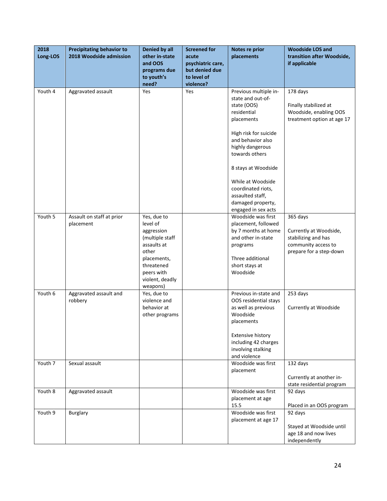| 2018<br>Long-LOS | <b>Precipitating behavior to</b><br>2018 Woodside admission | Denied by all<br>other in-state<br>and OOS<br>programs due<br>to youth's<br>need?                                                                          | <b>Screened for</b><br>acute<br>psychiatric care,<br>but denied due<br>to level of<br>violence? | Notes re prior<br>placements                                                                                                                                                                                                                                                                                 | <b>Woodside LOS and</b><br>transition after Woodside,<br>if applicable                                      |
|------------------|-------------------------------------------------------------|------------------------------------------------------------------------------------------------------------------------------------------------------------|-------------------------------------------------------------------------------------------------|--------------------------------------------------------------------------------------------------------------------------------------------------------------------------------------------------------------------------------------------------------------------------------------------------------------|-------------------------------------------------------------------------------------------------------------|
| Youth 4          | Aggravated assault                                          | Yes                                                                                                                                                        | Yes                                                                                             | Previous multiple in-<br>state and out-of-<br>state (OOS)<br>residential<br>placements<br>High risk for suicide<br>and behavior also<br>highly dangerous<br>towards others<br>8 stays at Woodside<br>While at Woodside<br>coordinated riots,<br>assaulted staff,<br>damaged property,<br>engaged in sex acts | 178 days<br>Finally stabilized at<br>Woodside, enabling OOS<br>treatment option at age 17                   |
| Youth 5          | Assault on staff at prior<br>placement                      | Yes, due to<br>level of<br>aggression<br>(multiple staff<br>assaults at<br>other<br>placements,<br>threatened<br>peers with<br>violent, deadly<br>weapons) |                                                                                                 | Woodside was first<br>placement, followed<br>by 7 months at home<br>and other in-state<br>programs<br>Three additional<br>short stays at<br>Woodside                                                                                                                                                         | 365 days<br>Currently at Woodside,<br>stabilizing and has<br>community access to<br>prepare for a step-down |
| Youth 6          | Aggravated assault and<br>robbery                           | Yes, due to<br>violence and<br>behavior at<br>other programs                                                                                               |                                                                                                 | Previous in-state and<br>OOS residential stays<br>as well as previous<br>Woodside<br>placements<br><b>Extensive history</b><br>including 42 charges<br>involving stalking<br>and violence                                                                                                                    | 253 days<br>Currently at Woodside                                                                           |
| Youth 7          | Sexual assault                                              |                                                                                                                                                            |                                                                                                 | Woodside was first<br>placement                                                                                                                                                                                                                                                                              | 132 days<br>Currently at another in-<br>state residential program                                           |
| Youth 8          | Aggravated assault                                          |                                                                                                                                                            |                                                                                                 | Woodside was first<br>placement at age<br>15.5                                                                                                                                                                                                                                                               | 92 days<br>Placed in an OOS program                                                                         |
| Youth 9          | <b>Burglary</b>                                             |                                                                                                                                                            |                                                                                                 | Woodside was first<br>placement at age 17                                                                                                                                                                                                                                                                    | 92 days<br>Stayed at Woodside until<br>age 18 and now lives<br>independently                                |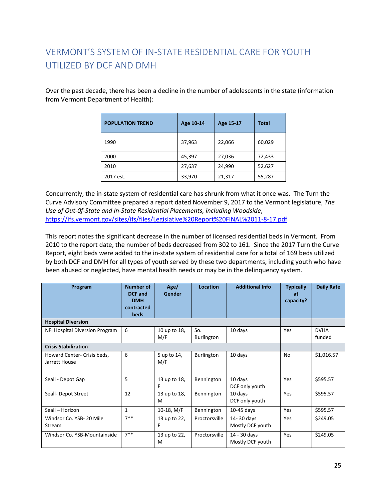# <span id="page-24-0"></span>VERMONT'S SYSTEM OF IN-STATE RESIDENTIAL CARE FOR YOUTH UTILIZED BY DCF AND DMH

Over the past decade, there has been a decline in the number of adolescents in the state (information from Vermont Department of Health):

| <b>POPULATION TREND</b> | Age 10-14 | Age 15-17 | <b>Total</b> |
|-------------------------|-----------|-----------|--------------|
| 1990                    | 37,963    | 22,066    | 60,029       |
| 2000                    | 45,397    | 27,036    | 72,433       |
| 2010                    | 27,637    | 24,990    | 52,627       |
| 2017 est.               | 33,970    | 21,317    | 55,287       |

Concurrently, the in-state system of residential care has shrunk from what it once was. The Turn the Curve Advisory Committee prepared a report dated November 9, 2017 to the Vermont legislature, *The Use of Out-0f-State and In-State Residential Placements, including Woodside*, <https://ifs.vermont.gov/sites/ifs/files/Legislative%20Report%20FINAL%2011-8-17.pdf>

This report notes the significant decrease in the number of licensed residential beds in Vermont. From 2010 to the report date, the number of beds decreased from 302 to 161. Since the 2017 Turn the Curve Report, eight beds were added to the in-state system of residential care for a total of 169 beds utilized by both DCF and DMH for all types of youth served by these two departments, including youth who have been abused or neglected, have mental health needs or may be in the delinquency system.

| Program                                      | <b>Number of</b><br><b>DCF</b> and<br><b>DMH</b><br>contracted<br>beds | Age/<br>Gender      | Location                 | <b>Additional Info</b>           | <b>Typically</b><br>at<br>capacity? | <b>Daily Rate</b>     |
|----------------------------------------------|------------------------------------------------------------------------|---------------------|--------------------------|----------------------------------|-------------------------------------|-----------------------|
| <b>Hospital Diversion</b>                    |                                                                        |                     |                          |                                  |                                     |                       |
| NFI Hospital Diversion Program               | 6                                                                      | 10 up to 18,<br>M/F | So.<br><b>Burlington</b> | 10 days                          | Yes                                 | <b>DVHA</b><br>funded |
| <b>Crisis Stabilization</b>                  |                                                                        |                     |                          |                                  |                                     |                       |
| Howard Center- Crisis beds,<br>Jarrett House | 6                                                                      | 5 up to 14,<br>M/F  | <b>Burlington</b>        | 10 days                          | <b>No</b>                           | \$1,016.57            |
| Seall - Depot Gap                            | 5                                                                      | 13 up to 18,<br>F   | Bennington               | 10 days<br>DCF only youth        | Yes                                 | \$595.57              |
| Seall- Depot Street                          | 12                                                                     | 13 up to 18,<br>м   | Bennington               | 10 days<br>DCF only youth        | Yes                                 | \$595.57              |
| Seall - Horizon                              | $\mathbf{1}$                                                           | 10-18, $M/F$        | Bennington               | $10-45$ days                     | Yes                                 | \$595.57              |
| Windsor Co. YSB-20 Mile<br>Stream            | $7**$                                                                  | 13 up to 22,<br>F   | Proctorsville            | 14-30 days<br>Mostly DCF youth   | Yes                                 | \$249.05              |
| Windsor Co. YSB-Mountainside                 | $7**$                                                                  | 13 up to 22,<br>M   | Proctorsville            | 14 - 30 days<br>Mostly DCF youth | Yes                                 | \$249.05              |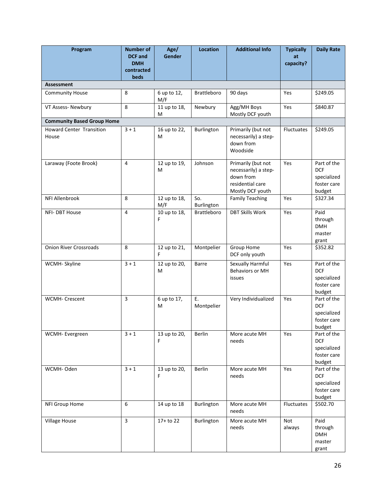| Program                                  | Number of<br><b>DCF</b> and<br><b>DMH</b><br>contracted<br>beds | Age/<br>Gender      | <b>Location</b>    | <b>Additional Info</b>                                                                          | <b>Typically</b><br>at<br>capacity? | <b>Daily Rate</b>                                                 |
|------------------------------------------|-----------------------------------------------------------------|---------------------|--------------------|-------------------------------------------------------------------------------------------------|-------------------------------------|-------------------------------------------------------------------|
| <b>Assessment</b>                        |                                                                 |                     |                    |                                                                                                 |                                     |                                                                   |
| <b>Community House</b>                   | 8                                                               | 6 up to 12,<br>M/F  | <b>Brattleboro</b> | 90 days                                                                                         | Yes                                 | \$249.05                                                          |
| VT Assess- Newbury                       | 8                                                               | 11 up to 18,<br>м   | Newbury            | Agg/MH Boys<br>Mostly DCF youth                                                                 | Yes                                 | \$840.87                                                          |
| <b>Community Based Group Home</b>        |                                                                 |                     |                    |                                                                                                 |                                     |                                                                   |
| <b>Howard Center Transition</b><br>House | $3 + 1$                                                         | 16 up to 22,<br>м   | Burlington         | Primarily (but not<br>necessarily) a step-<br>down from<br>Woodside                             | Fluctuates                          | \$249.05                                                          |
| Laraway (Foote Brook)                    | $\overline{4}$                                                  | 12 up to 19,<br>м   | Johnson            | Primarily (but not<br>necessarily) a step-<br>down from<br>residential care<br>Mostly DCF youth | Yes                                 | Part of the<br><b>DCF</b><br>specialized<br>foster care<br>budget |
| NFI Allenbrook                           | 8                                                               | 12 up to 18,<br>M/F | So.<br>Burlington  | <b>Family Teaching</b>                                                                          | Yes                                 | \$327.34                                                          |
| NFI-DBT House                            | $\overline{\mathbf{4}}$                                         | 10 up to 18,<br>F   | <b>Brattleboro</b> | <b>DBT Skills Work</b>                                                                          | Yes                                 | Paid<br>through<br><b>DMH</b><br>master<br>grant                  |
| <b>Onion River Crossroads</b>            | 8                                                               | 12 up to 21,<br>F.  | Montpelier         | Group Home<br>DCF only youth                                                                    | Yes                                 | \$352.82                                                          |
| WCMH-Skyline                             | $3 + 1$                                                         | 12 up to 20,<br>M   | Barre              | Sexually Harmful<br>Behaviors or MH<br>issues                                                   | Yes                                 | Part of the<br><b>DCF</b><br>specialized<br>foster care<br>budget |
| WCMH- Crescent                           | $\overline{3}$                                                  | 6 up to 17,<br>M    | E.<br>Montpelier   | Very Individualized                                                                             | Yes                                 | Part of the<br><b>DCF</b><br>specialized<br>foster care<br>budget |
| WCMH- Evergreen                          | $3 + 1$                                                         | 13 up to 20,<br>F   | Berlin             | More acute MH<br>needs                                                                          | Yes                                 | Part of the<br><b>DCF</b><br>specialized<br>foster care<br>budget |
| WCMH-Oden                                | $3 + 1$                                                         | 13 up to 20,<br>F   | Berlin             | More acute MH<br>needs                                                                          | Yes                                 | Part of the<br><b>DCF</b><br>specialized<br>foster care<br>budget |
| NFI Group Home                           | 6                                                               | 14 up to 18         | Burlington         | More acute MH<br>needs                                                                          | Fluctuates                          | \$502.70                                                          |
| <b>Village House</b>                     | $\overline{3}$                                                  | 17+ to 22           | Burlington         | More acute MH<br>needs                                                                          | Not<br>always                       | Paid<br>through<br><b>DMH</b><br>master<br>grant                  |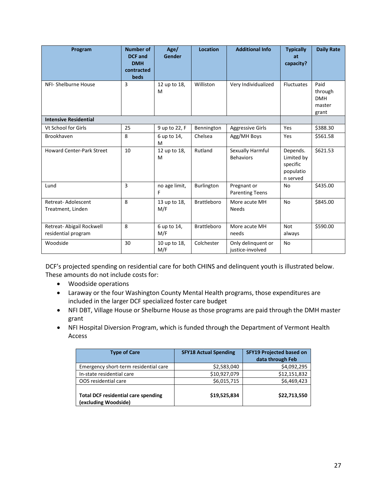| Program                                          | <b>Number of</b><br><b>DCF</b> and<br><b>DMH</b><br>contracted<br>beds | Age/<br>Gender      | Location           | <b>Additional Info</b>                 | <b>Typically</b><br>at<br>capacity?                         | <b>Daily Rate</b>                                |
|--------------------------------------------------|------------------------------------------------------------------------|---------------------|--------------------|----------------------------------------|-------------------------------------------------------------|--------------------------------------------------|
| NFI- Shelburne House                             | 3                                                                      | 12 up to 18,<br>M   | Williston          | Very Individualized                    | <b>Fluctuates</b>                                           | Paid<br>through<br><b>DMH</b><br>master<br>grant |
| <b>Intensive Residential</b>                     |                                                                        |                     |                    |                                        |                                                             |                                                  |
| Vt School for Girls                              | 25                                                                     | 9 up to 22, F       | Bennington         | <b>Aggressive Girls</b>                | Yes                                                         | \$388.30                                         |
| Brookhaven                                       | 8                                                                      | 6 up to 14,<br>M    | Chelsea            | Agg/MH Boys                            | Yes                                                         | \$561.58                                         |
| <b>Howard Center-Park Street</b>                 | 10                                                                     | 12 up to 18,<br>M   | Rutland            | Sexually Harmful<br><b>Behaviors</b>   | Depends.<br>Limited by<br>specific<br>populatio<br>n served | \$621.53                                         |
| Lund                                             | 3                                                                      | no age limit,<br>F  | Burlington         | Pregnant or<br><b>Parenting Teens</b>  | <b>No</b>                                                   | \$435.00                                         |
| Retreat-Adolescent<br>Treatment, Linden          | 8                                                                      | 13 up to 18,<br>M/F | <b>Brattleboro</b> | More acute MH<br><b>Needs</b>          | <b>No</b>                                                   | \$845.00                                         |
| Retreat- Abigail Rockwell<br>residential program | 8                                                                      | 6 up to 14,<br>M/F  | <b>Brattleboro</b> | More acute MH<br>needs                 | <b>Not</b><br>always                                        | \$590.00                                         |
| Woodside                                         | 30                                                                     | 10 up to 18,<br>M/F | Colchester         | Only delinguent or<br>justice-involved | <b>No</b>                                                   |                                                  |

DCF's projected spending on residential care for both CHINS and delinquent youth is illustrated below. These amounts do not include costs for:

- Woodside operations
- Laraway or the four Washington County Mental Health programs, those expenditures are included in the larger DCF specialized foster care budget
- NFI DBT, Village House or Shelburne House as those programs are paid through the DMH master grant
- NFI Hospital Diversion Program, which is funded through the Department of Vermont Health Access

| <b>Type of Care</b>                                                | <b>SFY18 Actual Spending</b> | <b>SFY19 Projected based on</b><br>data through Feb |
|--------------------------------------------------------------------|------------------------------|-----------------------------------------------------|
| Emergency short-term residential care                              | \$2,583,040                  | \$4,092,295                                         |
| In-state residential care                                          | \$10,927,079                 | \$12,151,832                                        |
| OOS residential care                                               | \$6,015,715                  | \$6,469,423                                         |
| <b>Total DCF residential care spending</b><br>(excluding Woodside) | \$19,525,834                 | \$22,713,550                                        |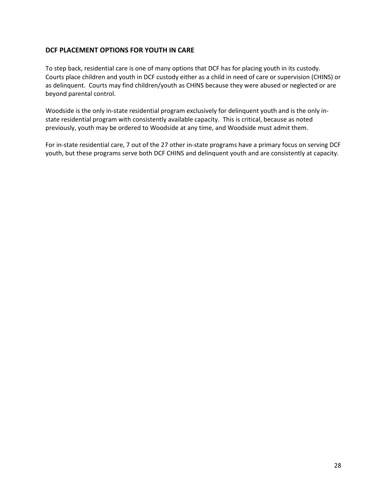#### **DCF PLACEMENT OPTIONS FOR YOUTH IN CARE**

To step back, residential care is one of many options that DCF has for placing youth in its custody. Courts place children and youth in DCF custody either as a child in need of care or supervision (CHINS) or as delinquent. Courts may find children/youth as CHINS because they were abused or neglected or are beyond parental control.

Woodside is the only in-state residential program exclusively for delinquent youth and is the only instate residential program with consistently available capacity. This is critical, because as noted previously, youth may be ordered to Woodside at any time, and Woodside must admit them.

For in-state residential care, 7 out of the 27 other in-state programs have a primary focus on serving DCF youth, but these programs serve both DCF CHINS and delinquent youth and are consistently at capacity.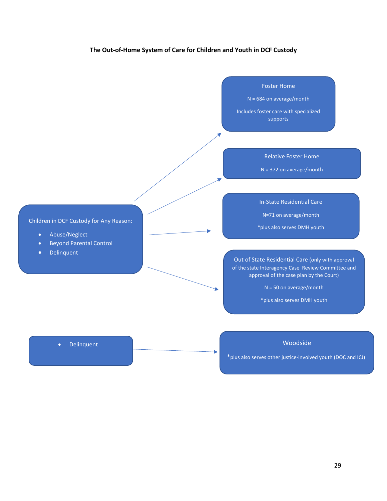#### **The Out-of-Home System of Care for Children and Youth in DCF Custody**

Foster Home

N = 684 on average/month

Includes foster care with specialized supports

Relative Foster Home

N = 372 on average/month

In-State Residential Care

N=71 on average/month

\*plus also serves DMH youth

Out of State Residential Care (only with approval of the state Interagency Case Review Committee and approval of the case plan by the Court)

N = 50 on average/month

\*plus also serves DMH youth

#### Woodside

\*plus also serves other justice-involved youth (DOC and ICJ)

#### Children in DCF Custody for Any Reason:

- Abuse/Neglect
- Beyond Parental Control
- Delinquent

• Delinquent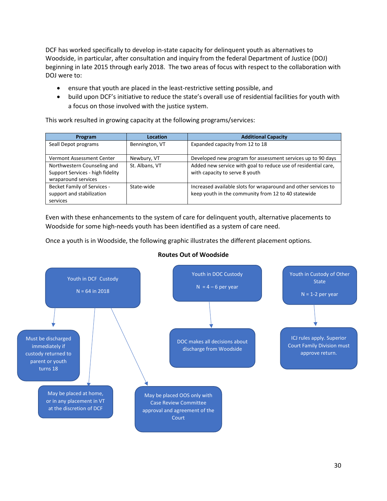DCF has worked specifically to develop in-state capacity for delinquent youth as alternatives to Woodside, in particular, after consultation and inquiry from the federal Department of Justice (DOJ) beginning in late 2015 through early 2018. The two areas of focus with respect to the collaboration with DOJ were to:

- ensure that youth are placed in the least-restrictive setting possible, and
- build upon DCF's initiative to reduce the state's overall use of residential facilities for youth with a focus on those involved with the justice system.

This work resulted in growing capacity at the following programs/services:

| Program                            | <b>Location</b> | <b>Additional Capacity</b>                                     |
|------------------------------------|-----------------|----------------------------------------------------------------|
| Seall Depot programs               | Bennington, VT  | Expanded capacity from 12 to 18                                |
|                                    |                 |                                                                |
| Vermont Assessment Center          | Newbury, VT     | Developed new program for assessment services up to 90 days    |
| Northwestern Counseling and        | St. Albans, VT  | Added new service with goal to reduce use of residential care, |
| Support Services - high fidelity   |                 | with capacity to serve 8 youth                                 |
| wraparound services                |                 |                                                                |
| <b>Becket Family of Services -</b> | State-wide      | Increased available slots for wraparound and other services to |
| support and stabilization          |                 | keep youth in the community from 12 to 40 statewide            |
| services                           |                 |                                                                |

Even with these enhancements to the system of care for delinquent youth, alternative placements to Woodside for some high-needs youth has been identified as a system of care need.

Once a youth is in Woodside, the following graphic illustrates the different placement options.



#### **Routes Out of Woodside**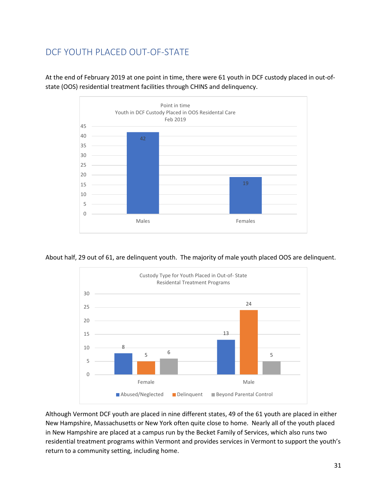# <span id="page-30-0"></span>DCF YOUTH PLACED OUT-OF-STATE

At the end of February 2019 at one point in time, there were 61 youth in DCF custody placed in out-ofstate (OOS) residential treatment facilities through CHINS and delinquency.



About half, 29 out of 61, are delinquent youth. The majority of male youth placed OOS are delinquent.



Although Vermont DCF youth are placed in nine different states, 49 of the 61 youth are placed in either New Hampshire, Massachusetts or New York often quite close to home. Nearly all of the youth placed in New Hampshire are placed at a campus run by the Becket Family of Services, which also runs two residential treatment programs within Vermont and provides services in Vermont to support the youth's return to a community setting, including home.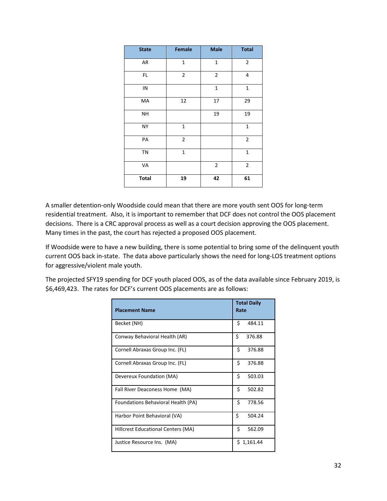| <b>State</b> | Female       | <b>Male</b>  | <b>Total</b>   |
|--------------|--------------|--------------|----------------|
| AR           | $\mathbf{1}$ | $\mathbf 1$  | $\overline{2}$ |
| FL.          | 2            | 2            | 4              |
| IN           |              | $\mathbf 1$  | $\mathbf{1}$   |
| МA           | 12           | 17           | 29             |
| <b>NH</b>    |              | 19           | 19             |
| NY           | 1            |              | $\mathbf{1}$   |
| PA           | 2            |              | $\overline{2}$ |
| TN           | $\mathbf{1}$ |              | $\mathbf{1}$   |
| VA           |              | $\mathbf{2}$ | $\mathbf 2$    |
| <b>Total</b> | 19           | 42           | 61             |

A smaller detention-only Woodside could mean that there are more youth sent OOS for long-term residential treatment. Also, it is important to remember that DCF does not control the OOS placement decisions. There is a CRC approval process as well as a court decision approving the OOS placement. Many times in the past, the court has rejected a proposed OOS placement.

If Woodside were to have a new building, there is some potential to bring some of the delinquent youth current OOS back in-state. The data above particularly shows the need for long-LOS treatment options for aggressive/violent male youth.

The projected SFY19 spending for DCF youth placed OOS, as of the data available since February 2019, is \$6,469,423. The rates for DCF's current OOS placements are as follows:

| <b>Placement Name</b>              | <b>Total Daily</b><br>Rate |
|------------------------------------|----------------------------|
| Becket (NH)                        | Ś<br>484.11                |
| Conway Behavioral Health (AR)      | Ś<br>376.88                |
| Cornell Abraxas Group Inc. (FL)    | Ś<br>376.88                |
| Cornell Abraxas Group Inc. (FL)    | \$<br>376.88               |
| Devereux Foundation (MA)           | \$<br>503.03               |
| Fall River Deaconess Home (MA)     | \$<br>502.82               |
| Foundations Behavioral Health (PA) | Ś.<br>778.56               |
| Harbor Point Behavioral (VA)       | \$<br>504.24               |
| Hillcrest Educational Centers (MA) | \$<br>562.09               |
| Justice Resource Ins. (MA)         | 1,161.44<br>S.             |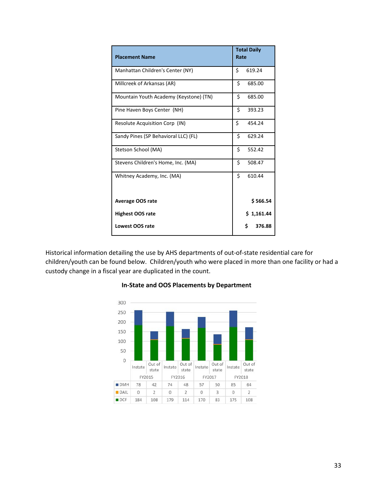| <b>Placement Name</b>                  | <b>Total Daily</b><br>Rate |
|----------------------------------------|----------------------------|
| Manhattan Children's Center (NY)       | Ś<br>619.24                |
| Millcreek of Arkansas (AR)             | \$<br>685.00               |
| Mountain Youth Academy (Keystone) (TN) | \$<br>685.00               |
| Pine Haven Boys Center (NH)            | \$<br>393.23               |
| Resolute Acquisition Corp (IN)         | \$<br>454.24               |
| Sandy Pines (SP Behavioral LLC) (FL)   | \$<br>629.24               |
| Stetson School (MA)                    | \$<br>552.42               |
| Stevens Children's Home, Inc. (MA)     | \$<br>508.47               |
| Whitney Academy, Inc. (MA)             | \$<br>610.44               |
| <b>Average OOS rate</b>                | \$566.54                   |
| <b>Highest OOS rate</b>                | \$1,161.44                 |
| Lowest OOS rate                        | Ś.<br>376.88               |

Historical information detailing the use by AHS departments of out-of-state residential care for children/youth can be found below. Children/youth who were placed in more than one facility or had a custody change in a fiscal year are duplicated in the count.



#### **In-State and OOS Placements by Department**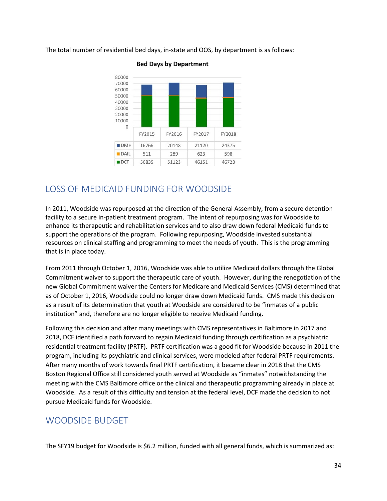The total number of residential bed days, in-state and OOS, by department is as follows:



#### **Bed Days by Department**

# <span id="page-33-0"></span>LOSS OF MEDICAID FUNDING FOR WOODSIDE

In 2011, Woodside was repurposed at the direction of the General Assembly, from a secure detention facility to a secure in-patient treatment program. The intent of repurposing was for Woodside to enhance its therapeutic and rehabilitation services and to also draw down federal Medicaid funds to support the operations of the program. Following repurposing, Woodside invested substantial resources on clinical staffing and programming to meet the needs of youth. This is the programming that is in place today.

From 2011 through October 1, 2016, Woodside was able to utilize Medicaid dollars through the Global Commitment waiver to support the therapeutic care of youth. However, during the renegotiation of the new Global Commitment waiver the Centers for Medicare and Medicaid Services (CMS) determined that as of October 1, 2016, Woodside could no longer draw down Medicaid funds. CMS made this decision as a result of its determination that youth at Woodside are considered to be "inmates of a public institution" and, therefore are no longer eligible to receive Medicaid funding.

Following this decision and after many meetings with CMS representatives in Baltimore in 2017 and 2018, DCF identified a path forward to regain Medicaid funding through certification as a psychiatric residential treatment facility (PRTF). PRTF certification was a good fit for Woodside because in 2011 the program, including its psychiatric and clinical services, were modeled after federal PRTF requirements. After many months of work towards final PRTF certification, it became clear in 2018 that the CMS Boston Regional Office still considered youth served at Woodside as "inmates" notwithstanding the meeting with the CMS Baltimore office or the clinical and therapeutic programming already in place at Woodside. As a result of this difficulty and tension at the federal level, DCF made the decision to not pursue Medicaid funds for Woodside.

# <span id="page-33-1"></span>WOODSIDE BUDGET

The SFY19 budget for Woodside is \$6.2 million, funded with all general funds, which is summarized as: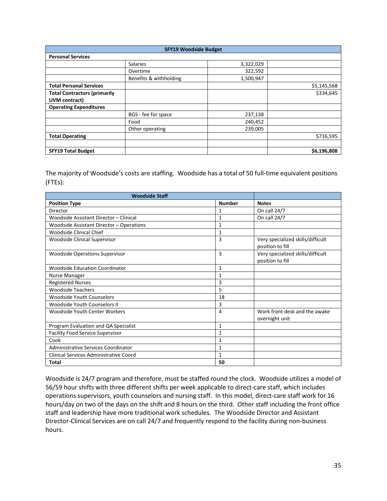| <b>SFY19 Woodside Budget</b>        |                        |           |             |  |  |
|-------------------------------------|------------------------|-----------|-------------|--|--|
| <b>Personal Services</b>            |                        |           |             |  |  |
|                                     | <b>Salaries</b>        | 3,322,029 |             |  |  |
|                                     | Overtime               | 322,592   |             |  |  |
|                                     | Benefits & withholding | 1,500,947 |             |  |  |
| <b>Total Personal Services</b>      |                        |           | \$5,145,568 |  |  |
| <b>Total Contractors (primarily</b> |                        |           | \$334,645   |  |  |
| UVM contract)                       |                        |           |             |  |  |
| <b>Operating Expenditures</b>       |                        |           |             |  |  |
|                                     | BGS - fee for space    | 237,138   |             |  |  |
|                                     | Food                   | 240,452   |             |  |  |
|                                     | Other operating        | 239,005   |             |  |  |
| <b>Total Operating</b>              |                        |           | \$716,595   |  |  |
|                                     |                        |           |             |  |  |
| <b>SFY19 Total Budget</b>           |                        |           | \$6,196,808 |  |  |

The majority of Woodside's costs are staffing. Woodside has a total of 50 full-time equivalent positions (FTEs):

| <b>Woodside Staff</b>                    |               |                                                       |
|------------------------------------------|---------------|-------------------------------------------------------|
| <b>Position Type</b>                     | <b>Number</b> | <b>Notes</b>                                          |
| Director                                 | 1             | On call 24/7                                          |
| Woodside Assistant Director - Clinical   | 1             | On call 24/7                                          |
| Woodside Assistant Director - Operations | 1             |                                                       |
| Woodside Clinical Chief                  | $\mathbf{1}$  |                                                       |
| Woodside Clinical Supervisor             | 3             | Very specialized skills/difficult<br>position to fill |
| <b>Woodside Operations Supervisor</b>    | 3             | Very specialized skills/difficult<br>position to fill |
| Woodside Education Coordinator           | 1             |                                                       |
| Nurse Manager                            | 1             |                                                       |
| <b>Registered Nurses</b>                 | 3             |                                                       |
| <b>Woodside Teachers</b>                 | 5             |                                                       |
| <b>Woodside Youth Counselors</b>         | 18            |                                                       |
| <b>Woodside Youth Counselors II</b>      | 3             |                                                       |
| Woodside Youth Center Workers            | 4             | Work front desk and the awake<br>overnight unit       |
| Program Evaluation and QA Specialist     | $\mathbf{1}$  |                                                       |
| <b>Facility Food Service Supervisor</b>  | 1             |                                                       |
| Cook                                     | $\mathbf{1}$  |                                                       |
| Administrative Services Coordinator      | 1             |                                                       |
| Clinical Services Administrative Coord   | $\mathbf{1}$  |                                                       |
| <b>Total</b>                             | 50            |                                                       |

Woodside is 24/7 program and therefore, must be staffed round the clock. Woodside utilizes a model of 56/59 hour shifts with three different shifts per week applicable to direct-care staff, which includes operations supervisors, youth counselors and nursing staff. In this model, direct-care staff work for 16 hours/day on two of the days on the shift and 8 hours on the third. Other staff including the front office staff and leadership have more traditional work schedules. The Woodside Director and Assistant Director-Clinical Services are on call 24/7 and frequently respond to the facility during non-business hours.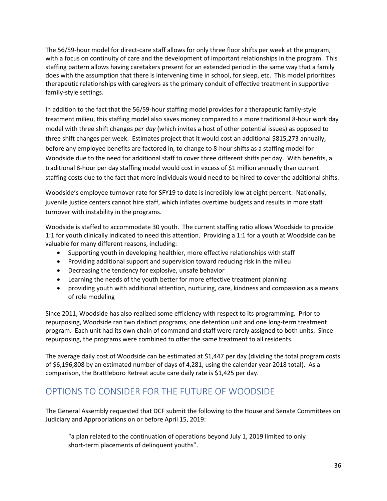The 56/59-hour model for direct-care staff allows for only three floor shifts per week at the program, with a focus on continuity of care and the development of important relationships in the program. This staffing pattern allows having caretakers present for an extended period in the same way that a family does with the assumption that there is intervening time in school, for sleep, etc. This model prioritizes therapeutic relationships with caregivers as the primary conduit of effective treatment in supportive family-style settings.

In addition to the fact that the 56/59-hour staffing model provides for a therapeutic family-style treatment milieu, this staffing model also saves money compared to a more traditional 8-hour work day model with three shift changes *per day* (which invites a host of other potential issues) as opposed to three shift changes per week. Estimates project that it would cost an additional \$815,273 annually, before any employee benefits are factored in, to change to 8-hour shifts as a staffing model for Woodside due to the need for additional staff to cover three different shifts per day. With benefits, a traditional 8-hour per day staffing model would cost in excess of \$1 million annually than current staffing costs due to the fact that more individuals would need to be hired to cover the additional shifts.

Woodside's employee turnover rate for SFY19 to date is incredibly low at eight percent. Nationally, juvenile justice centers cannot hire staff, which inflates overtime budgets and results in more staff turnover with instability in the programs.

Woodside is staffed to accommodate 30 youth. The current staffing ratio allows Woodside to provide 1:1 for youth clinically indicated to need this attention. Providing a 1:1 for a youth at Woodside can be valuable for many different reasons, including:

- Supporting youth in developing healthier, more effective relationships with staff
- Providing additional support and supervision toward reducing risk in the milieu
- Decreasing the tendency for explosive, unsafe behavior
- Learning the needs of the youth better for more effective treatment planning
- providing youth with additional attention, nurturing, care, kindness and compassion as a means of role modeling

Since 2011, Woodside has also realized some efficiency with respect to its programming. Prior to repurposing, Woodside ran two distinct programs, one detention unit and one long-term treatment program. Each unit had its own chain of command and staff were rarely assigned to both units. Since repurposing, the programs were combined to offer the same treatment to all residents.

The average daily cost of Woodside can be estimated at \$1,447 per day (dividing the total program costs of \$6,196,808 by an estimated number of days of 4,281, using the calendar year 2018 total). As a comparison, the Brattleboro Retreat acute care daily rate is \$1,425 per day.

# <span id="page-35-0"></span>OPTIONS TO CONSIDER FOR THE FUTURE OF WOODSIDE

The General Assembly requested that DCF submit the following to the House and Senate Committees on Judiciary and Appropriations on or before April 15, 2019:

"a plan related to the continuation of operations beyond July 1, 2019 limited to only short-term placements of delinquent youths".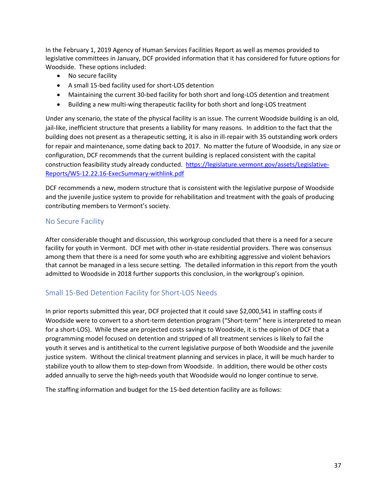In the February 1, 2019 Agency of Human Services Facilities Report as well as memos provided to legislative committees in January, DCF provided information that it has considered for future options for Woodside. These options included:

- No secure facility
- A small 15-bed facility used for short-LOS detention
- Maintaining the current 30-bed facility for both short and long-LOS detention and treatment
- Building a new multi-wing therapeutic facility for both short and long-LOS treatment

Under any scenario, the state of the physical facility is an issue. The current Woodside building is an old, jail-like, inefficient structure that presents a liability for many reasons. In addition to the fact that the building does not present as a therapeutic setting, it is also in ill-repair with 35 outstanding work orders for repair and maintenance, some dating back to 2017. No matter the future of Woodside, in any size or configuration, DCF recommends that the current building is replaced consistent with the capital construction feasibility study already conducted. [https://legislature.vermont.gov/assets/Legislative-](https://legislature.vermont.gov/assets/Legislative-Reports/WS-12.22.16-ExecSummary-withlink.pdf)[Reports/WS-12.22.16-ExecSummary-withlink.pdf](https://legislature.vermont.gov/assets/Legislative-Reports/WS-12.22.16-ExecSummary-withlink.pdf)

DCF recommends a new, modern structure that is consistent with the legislative purpose of Woodside and the juvenile justice system to provide for rehabilitation and treatment with the goals of producing contributing members to Vermont's society.

### <span id="page-36-0"></span>No Secure Facility

After considerable thought and discussion, this workgroup concluded that there is a need for a secure facility for youth in Vermont. DCF met with other in-state residential providers. There was consensus among them that there is a need for some youth who are exhibiting aggressive and violent behaviors that cannot be managed in a less secure setting. The detailed information in this report from the youth admitted to Woodside in 2018 further supports this conclusion, in the workgroup's opinion.

# <span id="page-36-1"></span>Small 15-Bed Detention Facility for Short-LOS Needs

In prior reports submitted this year, DCF projected that it could save \$2,000,541 in staffing costs if Woodside were to convert to a short-term detention program ("Short-term" here is interpreted to mean for a short-LOS). While these are projected costs savings to Woodside, it is the opinion of DCF that a programming model focused on detention and stripped of all treatment services is likely to fail the youth it serves and is antithetical to the current legislative purpose of both Woodside and the juvenile justice system. Without the clinical treatment planning and services in place, it will be much harder to stabilize youth to allow them to step-down from Woodside. In addition, there would be other costs added annually to serve the high-needs youth that Woodside would no longer continue to serve.

The staffing information and budget for the 15-bed detention facility are as follows: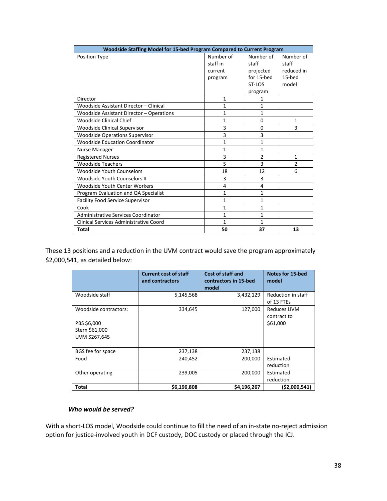| Woodside Staffing Model for 15-bed Program Compared to Current Program |              |                |                |  |
|------------------------------------------------------------------------|--------------|----------------|----------------|--|
| <b>Position Type</b>                                                   | Number of    | Number of      | Number of      |  |
|                                                                        | staff in     | staff          | staff          |  |
|                                                                        | current      | projected      | reduced in     |  |
|                                                                        | program      | for 15-bed     | 15-hed         |  |
|                                                                        |              | ST-LOS         | model          |  |
|                                                                        |              | program        |                |  |
| Director                                                               | $\mathbf{1}$ | 1              |                |  |
| Woodside Assistant Director - Clinical                                 | $\mathbf{1}$ | 1              |                |  |
| Woodside Assistant Director - Operations                               | $\mathbf{1}$ | $\mathbf{1}$   |                |  |
| Woodside Clinical Chief                                                | 1            | 0              | 1              |  |
| <b>Woodside Clinical Supervisor</b>                                    | 3            | 0              | 3              |  |
| <b>Woodside Operations Supervisor</b>                                  | 3            | 3              |                |  |
| <b>Woodside Education Coordinator</b>                                  | 1            | 1              |                |  |
| Nurse Manager                                                          | $\mathbf{1}$ | $\mathbf{1}$   |                |  |
| <b>Registered Nurses</b>                                               | 3            | $\overline{2}$ | 1              |  |
| <b>Woodside Teachers</b>                                               | 5            | 3              | $\overline{2}$ |  |
| Woodside Youth Counselors                                              | 18           | 12             | 6              |  |
| <b>Woodside Youth Counselors II</b>                                    | 3            | 3              |                |  |
| Woodside Youth Center Workers                                          | 4            | 4              |                |  |
| Program Evaluation and QA Specialist                                   | 1            | 1              |                |  |
| <b>Facility Food Service Supervisor</b>                                | $\mathbf{1}$ | $\mathbf{1}$   |                |  |
| Cook                                                                   | 1            | 1              |                |  |
| <b>Administrative Services Coordinator</b>                             | $\mathbf{1}$ | $\mathbf{1}$   |                |  |
| Clinical Services Administrative Coord                                 | 1            | 1              |                |  |
| Total                                                                  | 50           | 37             | 13             |  |

These 13 positions and a reduction in the UVM contract would save the program approximately \$2,000,541, as detailed below:

|                                                                         | <b>Current cost of staff</b><br>and contractors | <b>Cost of staff and</b><br>contractors in 15-bed<br>model | <b>Notes for 15-bed</b><br>model              |
|-------------------------------------------------------------------------|-------------------------------------------------|------------------------------------------------------------|-----------------------------------------------|
| Woodside staff                                                          | 5,145,568                                       | 3,432,129                                                  | Reduction in staff<br>of 13 FTEs              |
| Woodside contractors:<br>PBS \$6,000<br>Stern \$61,000<br>UVM \$267,645 | 334,645                                         | 127,000                                                    | <b>Reduces UVM</b><br>contract to<br>\$61,000 |
| BGS fee for space                                                       | 237,138                                         | 237,138                                                    |                                               |
| Food                                                                    | 240,452                                         | 200,000                                                    | Estimated<br>reduction                        |
| Other operating                                                         | 239,005                                         | 200,000                                                    | Estimated<br>reduction                        |
| <b>Total</b>                                                            | \$6,196,808                                     | \$4,196,267                                                | ( \$2,000,541)                                |

#### *Who would be served?*

With a short-LOS model, Woodside could continue to fill the need of an in-state no-reject admission option for justice-involved youth in DCF custody, DOC custody or placed through the ICJ.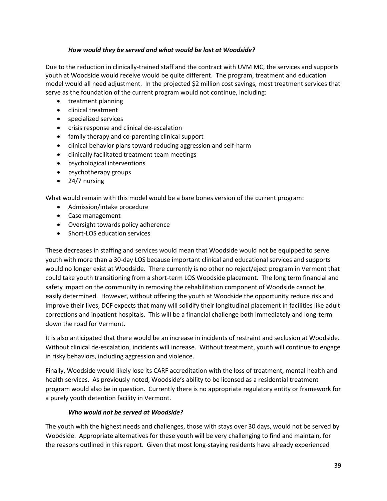#### *How would they be served and what would be lost at Woodside?*

Due to the reduction in clinically-trained staff and the contract with UVM MC, the services and supports youth at Woodside would receive would be quite different. The program, treatment and education model would all need adjustment. In the projected \$2 million cost savings, most treatment services that serve as the foundation of the current program would not continue, including:

- treatment planning
- clinical treatment
- specialized services
- crisis response and clinical de-escalation
- family therapy and co-parenting clinical support
- clinical behavior plans toward reducing aggression and self-harm
- clinically facilitated treatment team meetings
- psychological interventions
- psychotherapy groups
- 24/7 nursing

What would remain with this model would be a bare bones version of the current program:

- Admission/intake procedure
- Case management
- Oversight towards policy adherence
- Short-LOS education services

These decreases in staffing and services would mean that Woodside would not be equipped to serve youth with more than a 30-day LOS because important clinical and educational services and supports would no longer exist at Woodside. There currently is no other no reject/eject program in Vermont that could take youth transitioning from a short-term LOS Woodside placement. The long term financial and safety impact on the community in removing the rehabilitation component of Woodside cannot be easily determined. However, without offering the youth at Woodside the opportunity reduce risk and improve their lives, DCF expects that many will solidify their longitudinal placement in facilities like adult corrections and inpatient hospitals. This will be a financial challenge both immediately and long-term down the road for Vermont.

It is also anticipated that there would be an increase in incidents of restraint and seclusion at Woodside. Without clinical de-escalation, incidents will increase. Without treatment, youth will continue to engage in risky behaviors, including aggression and violence.

Finally, Woodside would likely lose its CARF accreditation with the loss of treatment, mental health and health services. As previously noted, Woodside's ability to be licensed as a residential treatment program would also be in question. Currently there is no appropriate regulatory entity or framework for a purely youth detention facility in Vermont.

#### *Who would not be served at Woodside?*

The youth with the highest needs and challenges, those with stays over 30 days, would not be served by Woodside. Appropriate alternatives for these youth will be very challenging to find and maintain, for the reasons outlined in this report. Given that most long-staying residents have already experienced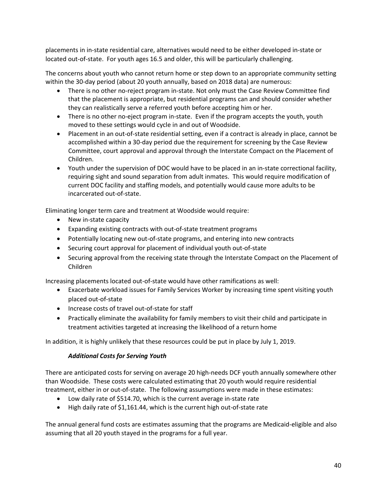placements in in-state residential care, alternatives would need to be either developed in-state or located out-of-state. For youth ages 16.5 and older, this will be particularly challenging.

The concerns about youth who cannot return home or step down to an appropriate community setting within the 30-day period (about 20 youth annually, based on 2018 data) are numerous:

- There is no other no-reject program in-state. Not only must the Case Review Committee find that the placement is appropriate, but residential programs can and should consider whether they can realistically serve a referred youth before accepting him or her.
- There is no other no-eject program in-state. Even if the program accepts the youth, youth moved to these settings would cycle in and out of Woodside.
- Placement in an out-of-state residential setting, even if a contract is already in place, cannot be accomplished within a 30-day period due the requirement for screening by the Case Review Committee, court approval and approval through the Interstate Compact on the Placement of Children.
- Youth under the supervision of DOC would have to be placed in an in-state correctional facility, requiring sight and sound separation from adult inmates. This would require modification of current DOC facility and staffing models, and potentially would cause more adults to be incarcerated out-of-state.

Eliminating longer term care and treatment at Woodside would require:

- New in-state capacity
- Expanding existing contracts with out-of-state treatment programs
- Potentially locating new out-of-state programs, and entering into new contracts
- Securing court approval for placement of individual youth out-of-state
- Securing approval from the receiving state through the Interstate Compact on the Placement of Children

Increasing placements located out-of-state would have other ramifications as well:

- Exacerbate workload issues for Family Services Worker by increasing time spent visiting youth placed out-of-state
- Increase costs of travel out-of-state for staff
- Practically eliminate the availability for family members to visit their child and participate in treatment activities targeted at increasing the likelihood of a return home

In addition, it is highly unlikely that these resources could be put in place by July 1, 2019.

#### *Additional Costs for Serving Youth*

There are anticipated costs for serving on average 20 high-needs DCF youth annually somewhere other than Woodside. These costs were calculated estimating that 20 youth would require residential treatment, either in or out-of-state. The following assumptions were made in these estimates:

- Low daily rate of \$514.70, which is the current average in-state rate
- High daily rate of \$1,161.44, which is the current high out-of-state rate

The annual general fund costs are estimates assuming that the programs are Medicaid-eligible and also assuming that all 20 youth stayed in the programs for a full year.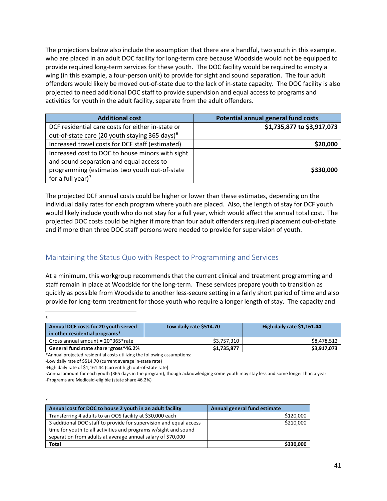The projections below also include the assumption that there are a handful, two youth in this example, who are placed in an adult DOC facility for long-term care because Woodside would not be equipped to provide required long-term services for these youth. The DOC facility would be required to empty a wing (in this example, a four-person unit) to provide for sight and sound separation. The four adult offenders would likely be moved out-of-state due to the lack of in-state capacity. The DOC facility is also projected to need additional DOC staff to provide supervision and equal access to programs and activities for youth in the adult facility, separate from the adult offenders.

| <b>Additional cost</b>                                     | <b>Potential annual general fund costs</b> |
|------------------------------------------------------------|--------------------------------------------|
| DCF residential care costs for either in-state or          | \$1,735,877 to \$3,917,073                 |
| out-of-state care (20 youth staying 365 days) <sup>6</sup> |                                            |
| Increased travel costs for DCF staff (estimated)           | \$20,000                                   |
| Increased cost to DOC to house minors with sight           |                                            |
| and sound separation and equal access to                   |                                            |
| programming (estimates two youth out-of-state              | \$330,000                                  |
| for a full year) <sup>7</sup>                              |                                            |

The projected DCF annual costs could be higher or lower than these estimates, depending on the individual daily rates for each program where youth are placed. Also, the length of stay for DCF youth would likely include youth who do not stay for a full year, which would affect the annual total cost. The projected DOC costs could be higher if more than four adult offenders required placement out-of-state and if more than three DOC staff persons were needed to provide for supervision of youth.

# <span id="page-40-0"></span>Maintaining the Status Quo with Respect to Programming and Services

At a minimum, this workgroup recommends that the current clinical and treatment programming and staff remain in place at Woodside for the long-term. These services prepare youth to transition as quickly as possible from Woodside to another less-secure setting in a fairly short period of time and also provide for long-term treatment for those youth who require a longer length of stay. The capacity and

<span id="page-40-1"></span>

| 6                                                                      |                         |                            |
|------------------------------------------------------------------------|-------------------------|----------------------------|
| Annual DCF costs for 20 youth served<br>in other residential programs* | Low daily rate \$514.70 | High daily rate \$1,161.44 |
| Gross annual amount = $20*365*$ rate                                   | \$3,757,310             | \$8,478,512                |
| General fund state share=gross*46.2%                                   | \$1,735,877             | \$3,917,073                |

\*Annual projected residential costs utilizing the following assumptions:

-Low daily rate of \$514.70 (current average in-state rate)

-High daily rate of \$1,161.44 (current high out-of-state rate)

-Annual amount for each youth (365 days in the program), though acknowledging some youth may stay less and some longer than a year -Programs are Medicaid-eligible (state share 46.2%)

<span id="page-40-2"></span>

| Annual cost for DOC to house 2 youth in an adult facility          | Annual general fund estimate |
|--------------------------------------------------------------------|------------------------------|
| Transferring 4 adults to an OOS facility at \$30,000 each          | \$120,000                    |
| 3 additional DOC staff to provide for supervision and equal access | \$210,000                    |
| time for youth to all activities and programs w/sight and sound    |                              |
| separation from adults at average annual salary of \$70,000        |                              |
| <b>Total</b>                                                       | \$330,000                    |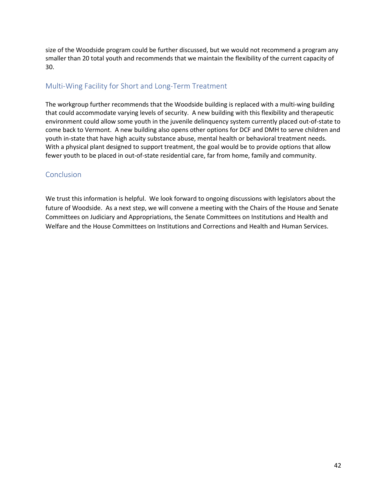size of the Woodside program could be further discussed, but we would not recommend a program any smaller than 20 total youth and recommends that we maintain the flexibility of the current capacity of 30.

### <span id="page-41-0"></span>Multi-Wing Facility for Short and Long-Term Treatment

The workgroup further recommends that the Woodside building is replaced with a multi-wing building that could accommodate varying levels of security. A new building with this flexibility and therapeutic environment could allow some youth in the juvenile delinquency system currently placed out-of-state to come back to Vermont. A new building also opens other options for DCF and DMH to serve children and youth in-state that have high acuity substance abuse, mental health or behavioral treatment needs. With a physical plant designed to support treatment, the goal would be to provide options that allow fewer youth to be placed in out-of-state residential care, far from home, family and community.

#### <span id="page-41-1"></span>**Conclusion**

We trust this information is helpful. We look forward to ongoing discussions with legislators about the future of Woodside. As a next step, we will convene a meeting with the Chairs of the House and Senate Committees on Judiciary and Appropriations, the Senate Committees on Institutions and Health and Welfare and the House Committees on Institutions and Corrections and Health and Human Services.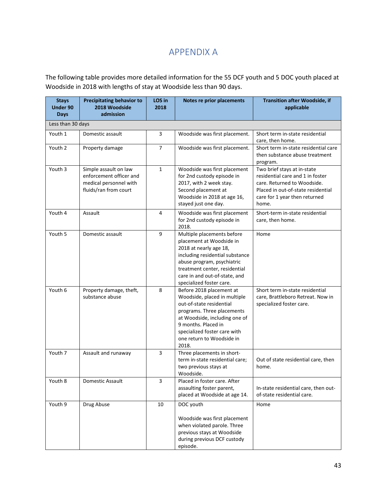# APPENDIX A

<span id="page-42-0"></span>The following table provides more detailed information for the 55 DCF youth and 5 DOC youth placed at Woodside in 2018 with lengths of stay at Woodside less than 90 days.

| <b>Stays</b><br><b>Under 90</b><br><b>Days</b> | <b>Precipitating behavior to</b><br>2018 Woodside<br>admission                                      | LOS in<br>2018   | Notes re prior placements                                                                                                                                                                                                                        | <b>Transition after Woodside, if</b><br>applicable                                                                                                                             |  |  |
|------------------------------------------------|-----------------------------------------------------------------------------------------------------|------------------|--------------------------------------------------------------------------------------------------------------------------------------------------------------------------------------------------------------------------------------------------|--------------------------------------------------------------------------------------------------------------------------------------------------------------------------------|--|--|
| Less than 30 days                              |                                                                                                     |                  |                                                                                                                                                                                                                                                  |                                                                                                                                                                                |  |  |
| Youth 1                                        | Domestic assault                                                                                    | 3                | Woodside was first placement.                                                                                                                                                                                                                    | Short term in-state residential                                                                                                                                                |  |  |
|                                                |                                                                                                     |                  |                                                                                                                                                                                                                                                  | care, then home.                                                                                                                                                               |  |  |
| Youth 2                                        | Property damage                                                                                     | $\overline{7}$   | Woodside was first placement.                                                                                                                                                                                                                    | Short term in-state residential care<br>then substance abuse treatment<br>program.                                                                                             |  |  |
| Youth 3                                        | Simple assault on law<br>enforcement officer and<br>medical personnel with<br>fluids/ran from court | $\mathbf{1}$     | Woodside was first placement<br>for 2nd custody episode in<br>2017, with 2 week stay.<br>Second placement at<br>Woodside in 2018 at age 16,<br>stayed just one day.                                                                              | Two brief stays at in-state<br>residential care and 1 in foster<br>care. Returned to Woodside.<br>Placed in out-of-state residential<br>care for 1 year then returned<br>home. |  |  |
| Youth 4                                        | Assault                                                                                             | 4                | Woodside was first placement<br>for 2nd custody episode in<br>2018.                                                                                                                                                                              | Short-term in-state residential<br>care, then home.                                                                                                                            |  |  |
| Youth 5                                        | Domestic assault                                                                                    | $\boldsymbol{9}$ | Multiple placements before<br>placement at Woodside in<br>2018 at nearly age 18,<br>including residential substance<br>abuse program, psychiatric<br>treatment center, residential<br>care in and out-of-state, and<br>specialized foster care.  | Home                                                                                                                                                                           |  |  |
| Youth 6                                        | Property damage, theft,<br>substance abuse                                                          | 8                | Before 2018 placement at<br>Woodside, placed in multiple<br>out-of-state residential<br>programs. Three placements<br>at Woodside, including one of<br>9 months. Placed in<br>specialized foster care with<br>one return to Woodside in<br>2018. | Short term in-state residential<br>care, Brattleboro Retreat. Now in<br>specialized foster care.                                                                               |  |  |
| Youth 7                                        | Assault and runaway                                                                                 | 3                | Three placements in short-<br>term in-state residential care;<br>two previous stays at<br>Woodside.                                                                                                                                              | Out of state residential care, then<br>home.                                                                                                                                   |  |  |
| Youth 8                                        | Domestic Assault                                                                                    | 3                | Placed in foster care. After<br>assaulting foster parent,<br>placed at Woodside at age 14.                                                                                                                                                       | In-state residential care, then out-<br>of-state residential care.                                                                                                             |  |  |
| Youth 9                                        | Drug Abuse                                                                                          | 10               | DOC youth<br>Woodside was first placement<br>when violated parole. Three<br>previous stays at Woodside<br>during previous DCF custody<br>episode.                                                                                                | Home                                                                                                                                                                           |  |  |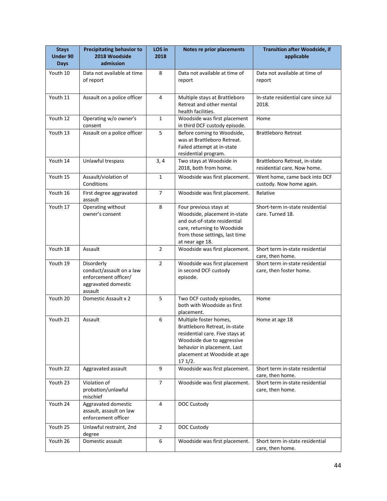| <b>Stays</b><br><b>Under 90</b><br><b>Days</b> | <b>Precipitating behavior to</b><br>2018 Woodside<br>admission                                   | LOS in<br>2018 | Notes re prior placements                                                                                                                                                                         | <b>Transition after Woodside, if</b><br>applicable           |
|------------------------------------------------|--------------------------------------------------------------------------------------------------|----------------|---------------------------------------------------------------------------------------------------------------------------------------------------------------------------------------------------|--------------------------------------------------------------|
| Youth 10                                       | Data not available at time<br>of report                                                          | 8              | Data not available at time of<br>report                                                                                                                                                           | Data not available at time of<br>report                      |
| Youth 11                                       | Assault on a police officer                                                                      | 4              | Multiple stays at Brattleboro<br>Retreat and other mental<br>health facilities.                                                                                                                   | In-state residential care since Jul<br>2018.                 |
| Youth 12                                       | Operating w/o owner's<br>consent                                                                 | $\mathbf{1}$   | Woodside was first placement<br>in third DCF custody episode.                                                                                                                                     | Home                                                         |
| Youth 13                                       | Assault on a police officer                                                                      | 5              | Before coming to Woodside,<br>was at Brattleboro Retreat.<br>Failed attempt at in-state<br>residential program.                                                                                   | <b>Brattleboro Retreat</b>                                   |
| Youth 14                                       | Unlawful trespass                                                                                | 3,4            | Two stays at Woodside in<br>2018, both from home.                                                                                                                                                 | Brattleboro Retreat, in-state<br>residential care. Now home. |
| Youth 15                                       | Assault/violation of<br>Conditions                                                               | $\mathbf 1$    | Woodside was first placement.                                                                                                                                                                     | Went home, came back into DCF<br>custody. Now home again.    |
| Youth 16                                       | First degree aggravated<br>assault                                                               | $\overline{7}$ | Woodside was first placement.                                                                                                                                                                     | Relative                                                     |
| Youth 17                                       | Operating without<br>owner's consent                                                             | 8              | Four previous stays at<br>Woodside, placement in-state<br>and out-of-state residential<br>care, returning to Woodside<br>from those settings, last time<br>at near age 18.                        | Short-term in-state residential<br>care. Turned 18.          |
| Youth 18                                       | Assault                                                                                          | $\overline{2}$ | Woodside was first placement.                                                                                                                                                                     | Short term in-state residential<br>care, then home.          |
| Youth 19                                       | Disorderly<br>conduct/assault on a law<br>enforcement officer/<br>aggravated domestic<br>assault | $\overline{2}$ | Woodside was first placement<br>in second DCF custody<br>episode.                                                                                                                                 | Short term in-state residential<br>care, then foster home.   |
| Youth 20                                       | Domestic Assault x 2                                                                             | 5              | Two DCF custody episodes,<br>both with Woodside as first<br>placement.                                                                                                                            | Home                                                         |
| Youth 21                                       | Assault                                                                                          | 6              | Multiple foster homes,<br>Brattleboro Retreat, in-state<br>residential care. Five stays at<br>Woodside due to aggressive<br>behavior in placement. Last<br>placement at Woodside at age<br>171/2. | Home at age 18                                               |
| Youth 22                                       | Aggravated assault                                                                               | 9              | Woodside was first placement.                                                                                                                                                                     | Short term in-state residential<br>care, then home.          |
| Youth 23                                       | Violation of<br>probation/unlawful<br>mischief                                                   | $\overline{7}$ | Woodside was first placement.                                                                                                                                                                     | Short term in-state residential<br>care, then home.          |
| Youth 24                                       | Aggravated domestic<br>assault, assault on law<br>enforcement officer                            | 4              | DOC Custody                                                                                                                                                                                       |                                                              |
| Youth 25                                       | Unlawful restraint, 2nd<br>degree                                                                | $\overline{2}$ | DOC Custody                                                                                                                                                                                       |                                                              |
| Youth 26                                       | Domestic assault                                                                                 | 6              | Woodside was first placement.                                                                                                                                                                     | Short term in-state residential<br>care, then home.          |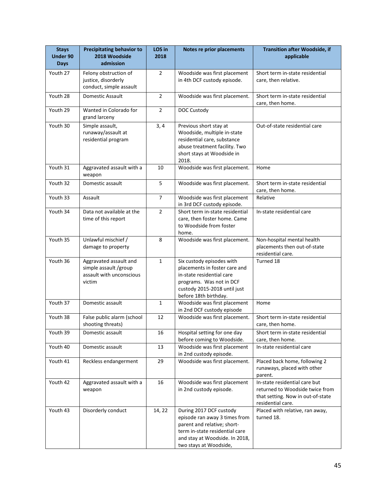| <b>Stays</b><br><b>Under 90</b><br><b>Days</b> | <b>Precipitating behavior to</b><br>2018 Woodside<br>admission                        | LOS in<br>2018 | Notes re prior placements                                                                                                                                                             | <b>Transition after Woodside, if</b><br>applicable                                                                         |
|------------------------------------------------|---------------------------------------------------------------------------------------|----------------|---------------------------------------------------------------------------------------------------------------------------------------------------------------------------------------|----------------------------------------------------------------------------------------------------------------------------|
| Youth 27                                       | Felony obstruction of<br>justice, disorderly<br>conduct, simple assault               | $\overline{2}$ | Woodside was first placement<br>in 4th DCF custody episode.                                                                                                                           | Short term in-state residential<br>care, then relative.                                                                    |
| Youth 28                                       | Domestic Assault                                                                      | $\overline{2}$ | Woodside was first placement.                                                                                                                                                         | Short term in-state residential<br>care, then home.                                                                        |
| Youth 29                                       | Wanted in Colorado for<br>grand larceny                                               | $\overline{2}$ | DOC Custody                                                                                                                                                                           |                                                                                                                            |
| Youth 30                                       | Simple assault,<br>runaway/assault at<br>residential program                          | 3,4            | Previous short stay at<br>Woodside, multiple in-state<br>residential care, substance<br>abuse treatment facility. Two<br>short stays at Woodside in<br>2018.                          | Out-of-state residential care                                                                                              |
| Youth 31                                       | Aggravated assault with a<br>weapon                                                   | 10             | Woodside was first placement.                                                                                                                                                         | Home                                                                                                                       |
| Youth 32                                       | Domestic assault                                                                      | 5              | Woodside was first placement.                                                                                                                                                         | Short term in-state residential<br>care, then home.                                                                        |
| Youth 33                                       | Assault                                                                               | $\overline{7}$ | Woodside was first placement<br>in 3rd DCF custody episode.                                                                                                                           | Relative                                                                                                                   |
| Youth 34                                       | Data not available at the<br>time of this report                                      | $\overline{2}$ | Short term in-state residential<br>care, then foster home. Came<br>to Woodside from foster<br>home.                                                                                   | In-state residential care                                                                                                  |
| Youth 35                                       | Unlawful mischief /<br>damage to property                                             | 8              | Woodside was first placement.                                                                                                                                                         | Non-hospital mental health<br>placements then out-of-state<br>residential care.                                            |
| Youth 36                                       | Aggravated assault and<br>simple assault /group<br>assault with unconscious<br>victim | $\mathbf 1$    | Six custody episodes with<br>placements in foster care and<br>in-state residential care<br>programs. Was not in DCF<br>custody 2015-2018 until just<br>before 18th birthday.          | Turned 18                                                                                                                  |
| Youth 37                                       | Domestic assault                                                                      | $\mathbf 1$    | Woodside was first placement<br>in 2nd DCF custody episode                                                                                                                            | Home                                                                                                                       |
| Youth 38                                       | False public alarm (school<br>shooting threats)                                       | 12             | Woodside was first placement.                                                                                                                                                         | Short term in-state residential<br>care, then home.                                                                        |
| Youth 39                                       | Domestic assault                                                                      | 16             | Hospital setting for one day<br>before coming to Woodside.                                                                                                                            | Short term in-state residential<br>care, then home.                                                                        |
| Youth 40                                       | Domestic assault                                                                      | 13             | Woodside was first placement<br>in 2nd custody episode.                                                                                                                               | In-state residential care                                                                                                  |
| Youth 41                                       | Reckless endangerment                                                                 | 29             | Woodside was first placement.                                                                                                                                                         | Placed back home, following 2<br>runaways, placed with other<br>parent.                                                    |
| Youth 42                                       | Aggravated assault with a<br>weapon                                                   | 16             | Woodside was first placement<br>in 2nd custody episode.                                                                                                                               | In-state residential care but<br>returned to Woodside twice from<br>that setting. Now in out-of-state<br>residential care. |
| Youth 43                                       | Disorderly conduct                                                                    | 14, 22         | During 2017 DCF custody<br>episode ran away 3 times from<br>parent and relative; short-<br>term in-state residential care<br>and stay at Woodside. In 2018,<br>two stays at Woodside, | Placed with relative, ran away,<br>turned 18.                                                                              |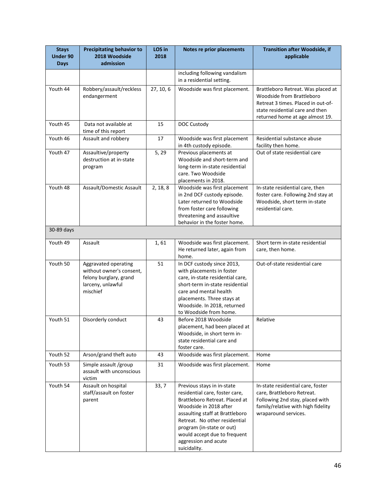| <b>Stays</b><br>Under 90<br><b>Days</b> | <b>Precipitating behavior to</b><br>2018 Woodside<br>admission                                              | LOS in<br>2018 | Notes re prior placements                                                                                                                                                                                                                                                                         | <b>Transition after Woodside, if</b><br>applicable                                                                                                                          |
|-----------------------------------------|-------------------------------------------------------------------------------------------------------------|----------------|---------------------------------------------------------------------------------------------------------------------------------------------------------------------------------------------------------------------------------------------------------------------------------------------------|-----------------------------------------------------------------------------------------------------------------------------------------------------------------------------|
|                                         |                                                                                                             |                | including following vandalism<br>in a residential setting.                                                                                                                                                                                                                                        |                                                                                                                                                                             |
| Youth 44                                | Robbery/assault/reckless<br>endangerment                                                                    | 27, 10, 6      | Woodside was first placement.                                                                                                                                                                                                                                                                     | Brattleboro Retreat. Was placed at<br>Woodside from Brattleboro<br>Retreat 3 times. Placed in out-of-<br>state residential care and then<br>returned home at age almost 19. |
| Youth 45                                | Data not available at<br>time of this report                                                                | 15             | DOC Custody                                                                                                                                                                                                                                                                                       |                                                                                                                                                                             |
| Youth 46                                | Assault and robbery                                                                                         | 17             | Woodside was first placement<br>in 4th custody episode.                                                                                                                                                                                                                                           | Residential substance abuse<br>facility then home.                                                                                                                          |
| Youth 47                                | Assaultive/property<br>destruction at in-state<br>program                                                   | 5, 29          | Previous placements at<br>Woodside and short-term and<br>long-term in-state residential<br>care. Two Woodside<br>placements in 2018.                                                                                                                                                              | Out of state residential care                                                                                                                                               |
| Youth 48                                | Assault/Domestic Assault                                                                                    | 2, 18, 8       | Woodside was first placement<br>in 2nd DCF custody episode.<br>Later returned to Woodside<br>from foster care following<br>threatening and assaultive<br>behavior in the foster home.                                                                                                             | In-state residential care, then<br>foster care. Following 2nd stay at<br>Woodside, short term in-state<br>residential care.                                                 |
| 30-89 days                              |                                                                                                             |                |                                                                                                                                                                                                                                                                                                   |                                                                                                                                                                             |
| Youth 49                                | Assault                                                                                                     | 1,61           | Woodside was first placement.<br>He returned later, again from<br>home.                                                                                                                                                                                                                           | Short term in-state residential<br>care, then home.                                                                                                                         |
| Youth 50                                | Aggravated operating<br>without owner's consent,<br>felony burglary, grand<br>larceny, unlawful<br>mischief | 51             | In DCF custody since 2013,<br>with placements in foster<br>care, in-state residential care,<br>short-term in-state residential<br>care and mental health<br>placements. Three stays at<br>Woodside. In 2018, returned<br>to Woodside from home.                                                   | Out-of-state residential care                                                                                                                                               |
| Youth 51                                | Disorderly conduct                                                                                          | 43             | Before 2018 Woodside<br>placement, had been placed at<br>Woodside, in short term in-<br>state residential care and<br>foster care.                                                                                                                                                                | Relative                                                                                                                                                                    |
| Youth 52                                | Arson/grand theft auto                                                                                      | 43             | Woodside was first placement.                                                                                                                                                                                                                                                                     | Home                                                                                                                                                                        |
| Youth 53                                | Simple assault /group<br>assault with unconscious<br>victim                                                 | 31             | Woodside was first placement.                                                                                                                                                                                                                                                                     | Home                                                                                                                                                                        |
| Youth 54                                | Assault on hospital<br>staff/assault on foster<br>parent                                                    | 33, 7          | Previous stays in in-state<br>residential care, foster care,<br>Brattleboro Retreat. Placed at<br>Woodside in 2018 after<br>assaulting staff at Brattleboro<br>Retreat. No other residential<br>program (in-state or out)<br>would accept due to frequent<br>aggression and acute<br>suicidality. | In-state residential care, foster<br>care, Brattleboro Retreat.<br>Following 2nd stay, placed with<br>family/relative with high fidelity<br>wraparound services.            |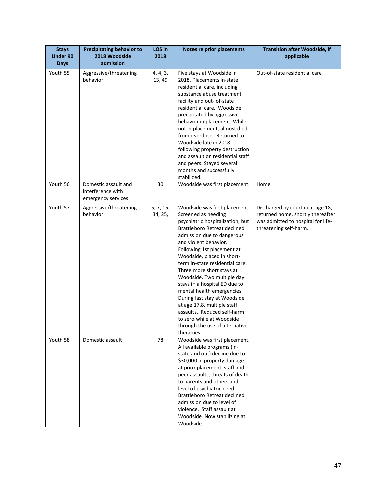| <b>Stays</b><br><b>Under 90</b><br><b>Days</b> | <b>Precipitating behavior to</b><br>2018 Woodside<br>admission  | LOS in<br>2018       | Notes re prior placements                                                                                                                                                                                                                                                                                                                                                                                                                                                                                                                                                           | <b>Transition after Woodside, if</b><br>applicable                                                                                    |
|------------------------------------------------|-----------------------------------------------------------------|----------------------|-------------------------------------------------------------------------------------------------------------------------------------------------------------------------------------------------------------------------------------------------------------------------------------------------------------------------------------------------------------------------------------------------------------------------------------------------------------------------------------------------------------------------------------------------------------------------------------|---------------------------------------------------------------------------------------------------------------------------------------|
| Youth 55                                       | Aggressive/threatening<br>behavior                              | 4, 4, 3,<br>13, 49   | Five stays at Woodside in<br>2018. Placements in-state<br>residential care, including<br>substance abuse treatment<br>facility and out- of-state<br>residential care. Woodside<br>precipitated by aggressive<br>behavior in placement. While<br>not in placement, almost died<br>from overdose. Returned to<br>Woodside late in 2018<br>following property destruction<br>and assault on residential staff<br>and peers. Stayed several<br>months and successfully<br>stabilized.                                                                                                   | Out-of-state residential care                                                                                                         |
| Youth 56                                       | Domestic assault and<br>interference with<br>emergency services | 30                   | Woodside was first placement.                                                                                                                                                                                                                                                                                                                                                                                                                                                                                                                                                       | Home                                                                                                                                  |
| Youth 57                                       | Aggressive/threatening<br>behavior                              | 5, 7, 15,<br>34, 25, | Woodside was first placement.<br>Screened as needing<br>psychiatric hospitalization, but<br>Brattleboro Retreat declined<br>admission due to dangerous<br>and violent behavior.<br>Following 1st placement at<br>Woodside, placed in short-<br>term in-state residential care.<br>Three more short stays at<br>Woodside. Two multiple day<br>stays in a hospital ED due to<br>mental health emergencies.<br>During last stay at Woodside<br>at age 17.8, multiple staff<br>assaults. Reduced self-harm<br>to zero while at Woodside<br>through the use of alternative<br>therapies. | Discharged by court near age 18,<br>returned home, shortly thereafter<br>was admitted to hospital for life-<br>threatening self-harm. |
| Youth 58                                       | Domestic assault                                                | 78                   | Woodside was first placement.<br>All available programs (in-<br>state and out) decline due to<br>\$30,000 in property damage<br>at prior placement, staff and<br>peer assaults, threats of death<br>to parents and others and<br>level of psychiatric need.<br><b>Brattleboro Retreat declined</b><br>admission due to level of<br>violence. Staff assault at<br>Woodside. Now stabilizing at<br>Woodside.                                                                                                                                                                          |                                                                                                                                       |